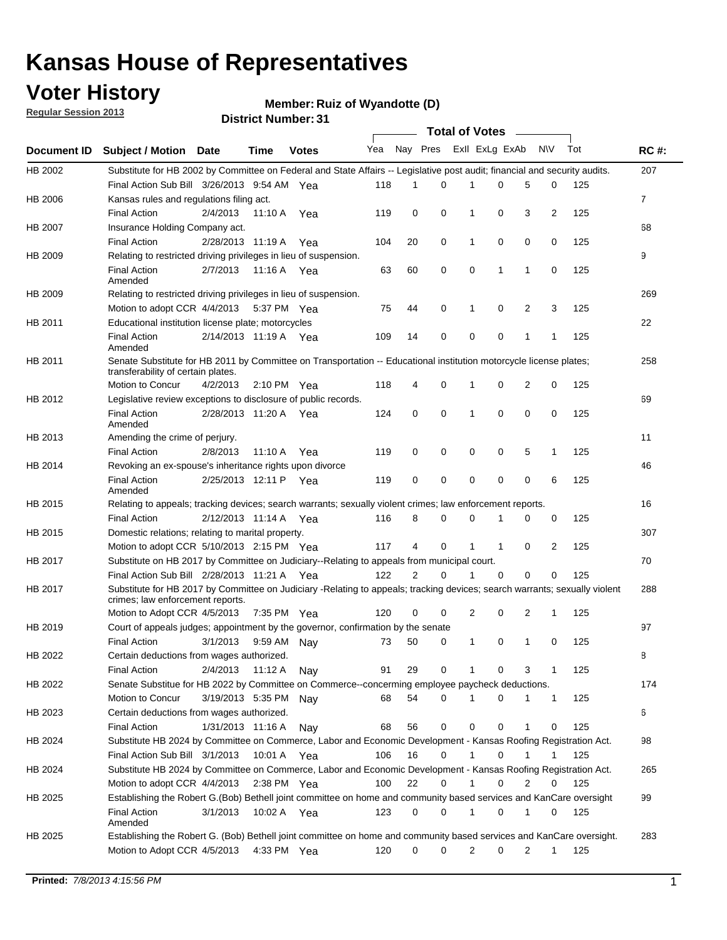### **Voter History**

**Member: Ruiz of Wyandotte (D)** 

**Regular Session 2013**

|                    |                                                                                                                                                                |                       | ו ט . וסעווואזו וטווער |              |              |    | Total of Votes – |              |                |                |                |     |                |
|--------------------|----------------------------------------------------------------------------------------------------------------------------------------------------------------|-----------------------|------------------------|--------------|--------------|----|------------------|--------------|----------------|----------------|----------------|-----|----------------|
| <b>Document ID</b> | <b>Subject / Motion Date</b>                                                                                                                                   |                       | Time                   | <b>Votes</b> | Yea Nay Pres |    |                  |              | Exll ExLg ExAb |                | N\V            | Tot | <b>RC#:</b>    |
| HB 2002            | Substitute for HB 2002 by Committee on Federal and State Affairs -- Legislative post audit; financial and security audits.                                     |                       |                        |              |              |    |                  |              |                |                |                |     | 207            |
|                    | Final Action Sub Bill 3/26/2013 9:54 AM Yea                                                                                                                    |                       |                        |              | 118          | 1  | $\Omega$         |              | 0              | 5              | 0              | 125 |                |
| HB 2006            | Kansas rules and regulations filing act.                                                                                                                       |                       |                        |              |              |    |                  |              |                |                |                |     | $\overline{7}$ |
|                    | <b>Final Action</b>                                                                                                                                            | 2/4/2013              | 11:10 A Yea            |              | 119          | 0  | 0                | 1            | 0              | 3              | $\overline{2}$ | 125 |                |
| HB 2007            | Insurance Holding Company act.                                                                                                                                 |                       |                        |              |              |    |                  |              |                |                |                |     | 68             |
|                    | <b>Final Action</b>                                                                                                                                            | 2/28/2013 11:19 A     |                        | Yea          | 104          | 20 | 0                | 1            | 0              | 0              | 0              | 125 |                |
| HB 2009            | Relating to restricted driving privileges in lieu of suspension.                                                                                               |                       |                        |              |              |    |                  |              |                |                |                |     | 9              |
|                    | <b>Final Action</b><br>Amended                                                                                                                                 | 2/7/2013              | 11:16 A Yea            |              | 63           | 60 | 0                | 0            | 1              | 1              | 0              | 125 |                |
| HB 2009            | Relating to restricted driving privileges in lieu of suspension.                                                                                               |                       |                        |              |              |    |                  |              |                |                |                |     | 269            |
|                    | Motion to adopt CCR 4/4/2013                                                                                                                                   |                       | 5:37 PM Yea            |              | 75           | 44 | 0                | 1            | 0              | 2              | 3              | 125 |                |
| HB 2011            | Educational institution license plate; motorcycles                                                                                                             |                       |                        |              |              |    |                  |              |                |                |                |     | 22             |
|                    | <b>Final Action</b><br>Amended                                                                                                                                 | 2/14/2013 11:19 A Yea |                        |              | 109          | 14 | 0                | 0            | 0              | 1              | 1              | 125 |                |
| HB 2011            | Senate Substitute for HB 2011 by Committee on Transportation -- Educational institution motorcycle license plates;                                             |                       |                        |              |              |    |                  |              |                |                |                |     | 258            |
|                    | transferability of certain plates.                                                                                                                             |                       |                        |              |              |    |                  |              |                |                |                |     |                |
|                    | Motion to Concur                                                                                                                                               | 4/2/2013              | $2:10 \text{ PM}$ Yea  |              | 118          | 4  | 0                | $\mathbf 1$  | 0              | $\overline{2}$ | 0              | 125 |                |
| HB 2012            | Legislative review exceptions to disclosure of public records.                                                                                                 |                       |                        |              |              |    |                  |              |                |                |                |     | 69             |
|                    | <b>Final Action</b><br>Amended                                                                                                                                 | 2/28/2013 11:20 A Yea |                        |              | 124          | 0  | 0                | 1            | 0              | 0              | 0              | 125 |                |
| HB 2013            | Amending the crime of perjury.                                                                                                                                 |                       |                        |              |              |    |                  |              |                |                |                |     | 11             |
|                    | <b>Final Action</b>                                                                                                                                            | 2/8/2013              | 11:10 A                | Yea          | 119          | 0  | 0                | 0            | 0              | 5              | 1              | 125 |                |
| HB 2014            | Revoking an ex-spouse's inheritance rights upon divorce                                                                                                        |                       |                        |              |              |    |                  |              |                |                |                |     | 46             |
|                    | <b>Final Action</b><br>Amended                                                                                                                                 | 2/25/2013 12:11 P     |                        | Yea          | 119          | 0  | $\mathbf 0$      | 0            | 0              | 0              | 6              | 125 |                |
| HB 2015            | Relating to appeals; tracking devices; search warrants; sexually violent crimes; law enforcement reports.                                                      |                       |                        |              |              |    |                  |              |                |                |                |     | 16             |
|                    | <b>Final Action</b>                                                                                                                                            | 2/12/2013 11:14 A     |                        | Yea          | 116          | 8  | 0                | 0            | 1              | 0              | 0              | 125 |                |
| HB 2015            | Domestic relations; relating to marital property.                                                                                                              |                       |                        |              |              |    |                  |              |                |                |                |     | 307            |
|                    | Motion to adopt CCR 5/10/2013 2:15 PM Yea                                                                                                                      |                       |                        |              | 117          | 4  | 0                | $\mathbf{1}$ | $\mathbf{1}$   | 0              | 2              | 125 |                |
| HB 2017            | Substitute on HB 2017 by Committee on Judiciary--Relating to appeals from municipal court.                                                                     |                       |                        |              |              |    |                  |              |                |                |                |     | 70             |
|                    | Final Action Sub Bill 2/28/2013 11:21 A Yea                                                                                                                    |                       |                        |              | 122          | 2  | 0                | 1            | 0              | 0              | 0              | 125 |                |
| HB 2017            | Substitute for HB 2017 by Committee on Judiciary -Relating to appeals; tracking devices; search warrants; sexually violent<br>crimes; law enforcement reports. |                       |                        |              |              |    |                  |              |                |                |                |     | 288            |
|                    | Motion to Adopt CCR 4/5/2013                                                                                                                                   |                       | 7:35 PM Yea            |              | 120          | 0  | 0                | 2            | 0              | 2              | 1              | 125 |                |
| HB 2019            | Court of appeals judges; appointment by the governor, confirmation by the senate                                                                               |                       |                        |              |              |    |                  |              |                |                |                |     | 97             |
|                    | Final Action                                                                                                                                                   | 3/1/2013              | 9:59 AM Nay            |              | 73           | 50 | 0                | 1            | 0              | 1              | 0              | 125 |                |
| HB 2022            | Certain deductions from wages authorized.                                                                                                                      |                       |                        |              |              |    |                  |              |                |                |                |     | 8              |
|                    | <b>Final Action</b>                                                                                                                                            | 2/4/2013              | 11:12 A                | Nav          | 91           | 29 | 0                |              | 0              | 3              | 1              | 125 |                |
| HB 2022            | Senate Substitue for HB 2022 by Committee on Commerce--concerming employee paycheck deductions.                                                                |                       |                        |              |              |    |                  |              |                |                |                |     | 174            |
|                    | Motion to Concur                                                                                                                                               | 3/19/2013 5:35 PM Nav |                        |              | 68           | 54 | 0                | 1            | 0              | 1              | $\mathbf{1}$   | 125 |                |
| HB 2023            | Certain deductions from wages authorized.                                                                                                                      |                       |                        |              |              |    |                  |              |                |                |                |     | 6              |
|                    | <b>Final Action</b>                                                                                                                                            | 1/31/2013 11:16 A     |                        | Nay          | 68           | 56 | 0                | 0            | 0              | 1              | 0              | 125 |                |
| HB 2024            | Substitute HB 2024 by Committee on Commerce, Labor and Economic Development - Kansas Roofing Registration Act.                                                 |                       |                        |              |              |    |                  |              |                |                |                |     | 98             |
|                    | Final Action Sub Bill 3/1/2013                                                                                                                                 |                       | 10:01 A Yea            |              | 106          | 16 | 0                | 1            | 0              | 1              | 1              | 125 |                |
| HB 2024            | Substitute HB 2024 by Committee on Commerce, Labor and Economic Development - Kansas Roofing Registration Act.                                                 |                       |                        |              |              |    |                  |              |                |                |                |     | 265            |
|                    | Motion to adopt CCR 4/4/2013                                                                                                                                   |                       | 2:38 PM Yea            |              | 100          | 22 | 0                | 1            | 0              | 2              | 0              | 125 |                |
| HB 2025            | Establishing the Robert G.(Bob) Bethell joint committee on home and community based services and KanCare oversight                                             |                       |                        |              |              |    |                  |              |                |                |                |     | 99             |
|                    | <b>Final Action</b>                                                                                                                                            | 3/1/2013              | 10:02 A Yea            |              | 123          | 0  | 0                | $\mathbf{1}$ | 0              | 1              | 0              | 125 |                |
|                    | Amended                                                                                                                                                        |                       |                        |              |              |    |                  |              |                |                |                |     |                |
| HB 2025            | Establishing the Robert G. (Bob) Bethell joint committee on home and community based services and KanCare oversight.                                           |                       |                        |              |              |    |                  |              |                |                |                |     | 283            |
|                    | Motion to Adopt CCR 4/5/2013                                                                                                                                   |                       | 4:33 PM Yea            |              | 120          | 0  | 0                | 2            | 0              | $\overline{2}$ | $\mathbf{1}$   | 125 |                |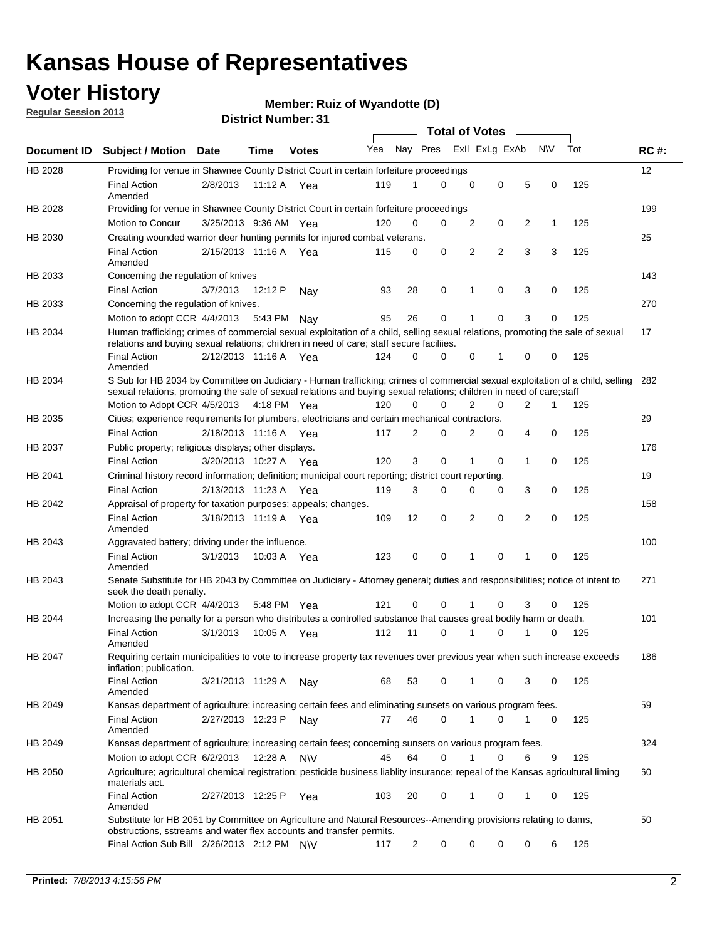### **Voter History**

**Member: Ruiz of Wyandotte (D)** 

**Regular Session 2013**

|             |                                                                                                                                                                                                                                                       |                       |         |              |     |                | <b>Total of Votes</b> |   |                |                |           |     |             |
|-------------|-------------------------------------------------------------------------------------------------------------------------------------------------------------------------------------------------------------------------------------------------------|-----------------------|---------|--------------|-----|----------------|-----------------------|---|----------------|----------------|-----------|-----|-------------|
| Document ID | <b>Subject / Motion Date</b>                                                                                                                                                                                                                          |                       | Time    | <b>Votes</b> | Yea | Nay Pres       |                       |   | Exll ExLg ExAb |                | <b>NV</b> | Tot | <b>RC#:</b> |
| HB 2028     | Providing for venue in Shawnee County District Court in certain forfeiture proceedings                                                                                                                                                                |                       |         |              |     |                |                       |   |                |                |           |     | 12          |
|             | <b>Final Action</b><br>Amended                                                                                                                                                                                                                        | 2/8/2013              |         | 11:12 A Yea  | 119 | 1              | $\Omega$              | 0 | 0              | 5              | 0         | 125 |             |
| HB 2028     | Providing for venue in Shawnee County District Court in certain forfeiture proceedings<br>Motion to Concur                                                                                                                                            | 3/25/2013 9:36 AM Yea |         |              | 120 | 0              | 0                     | 2 | 0              | 2              | 1         | 125 | 199         |
| HB 2030     | Creating wounded warrior deer hunting permits for injured combat veterans.                                                                                                                                                                            |                       |         |              |     |                |                       |   |                |                |           |     | 25          |
|             | <b>Final Action</b><br>Amended                                                                                                                                                                                                                        | 2/15/2013 11:16 A     |         | Yea          | 115 | 0              | 0                     | 2 | $\overline{2}$ | 3              | 3         | 125 |             |
| HB 2033     | Concerning the regulation of knives                                                                                                                                                                                                                   |                       |         |              |     |                |                       |   |                |                |           |     | 143         |
|             | <b>Final Action</b>                                                                                                                                                                                                                                   | 3/7/2013              | 12:12 P | Nav          | 93  | 28             | 0                     | 1 | 0              | 3              | 0         | 125 |             |
| HB 2033     | Concerning the regulation of knives.                                                                                                                                                                                                                  |                       |         |              |     |                |                       |   |                |                |           |     | 270         |
|             | Motion to adopt CCR 4/4/2013                                                                                                                                                                                                                          |                       | 5:43 PM | Nav          | 95  | 26             | 0                     |   | 0              | 3              | 0         | 125 |             |
| HB 2034     | Human trafficking; crimes of commercial sexual exploitation of a child, selling sexual relations, promoting the sale of sexual<br>relations and buying sexual relations; children in need of care; staff secure faciliies.                            |                       |         |              |     |                |                       |   |                |                |           |     | 17          |
|             | <b>Final Action</b><br>Amended                                                                                                                                                                                                                        | 2/12/2013 11:16 A Yea |         |              | 124 | $\Omega$       | 0                     | 0 | 1              | 0              | 0         | 125 |             |
| HB 2034     | S Sub for HB 2034 by Committee on Judiciary - Human trafficking; crimes of commercial sexual exploitation of a child, selling<br>sexual relations, promoting the sale of sexual relations and buying sexual relations; children in need of care;staff |                       |         |              |     |                |                       |   |                |                |           |     | 282         |
|             | Motion to Adopt CCR 4/5/2013 4:18 PM Yea                                                                                                                                                                                                              |                       |         |              | 120 | 0              | 0                     | 2 | 0              | $\overline{2}$ | 1         | 125 |             |
| HB 2035     | Cities; experience requirements for plumbers, electricians and certain mechanical contractors.                                                                                                                                                        |                       |         |              |     |                |                       |   |                |                |           |     | 29          |
|             | <b>Final Action</b>                                                                                                                                                                                                                                   | 2/18/2013 11:16 A     |         | Yea          | 117 | 2              | 0                     | 2 | 0              | 4              | 0         | 125 |             |
| HB 2037     | Public property; religious displays; other displays.                                                                                                                                                                                                  |                       |         |              |     |                |                       |   |                |                |           |     | 176         |
|             | <b>Final Action</b>                                                                                                                                                                                                                                   | 3/20/2013 10:27 A     |         | Yea          | 120 | 3              | 0                     | 1 | 0              | 1              | 0         | 125 |             |
| HB 2041     | Criminal history record information; definition; municipal court reporting; district court reporting.                                                                                                                                                 |                       |         |              |     |                |                       |   |                |                |           |     | 19          |
|             | <b>Final Action</b>                                                                                                                                                                                                                                   | 2/13/2013 11:23 A     |         | Yea          | 119 | 3              | 0                     | 0 | 0              | 3              | 0         | 125 |             |
| HB 2042     | Appraisal of property for taxation purposes; appeals; changes.                                                                                                                                                                                        |                       |         |              |     |                |                       |   |                |                |           |     | 158         |
|             | <b>Final Action</b><br>Amended                                                                                                                                                                                                                        | 3/18/2013 11:19 A     |         | Yea          | 109 | 12             | 0                     | 2 | 0              | 2              | 0         | 125 |             |
| HB 2043     | Aggravated battery; driving under the influence.                                                                                                                                                                                                      |                       |         |              |     |                |                       |   |                |                |           |     | 100         |
|             | <b>Final Action</b><br>Amended                                                                                                                                                                                                                        | 3/1/2013              |         | 10:03 A Yea  | 123 | 0              | 0                     |   | 0              | 1              | 0         | 125 |             |
| HB 2043     | Senate Substitute for HB 2043 by Committee on Judiciary - Attorney general; duties and responsibilities; notice of intent to<br>seek the death penalty.                                                                                               |                       |         |              |     |                |                       |   |                |                |           |     | 271         |
|             | Motion to adopt CCR 4/4/2013                                                                                                                                                                                                                          |                       |         | 5:48 PM Yea  | 121 | 0              | 0                     |   | 0              | 3              | 0         | 125 |             |
| HB 2044     | Increasing the penalty for a person who distributes a controlled substance that causes great bodily harm or death.                                                                                                                                    |                       |         |              |     |                |                       |   |                |                |           |     | 101         |
|             | <b>Final Action</b><br>Amended                                                                                                                                                                                                                        | 3/1/2013              | 10:05 A | Yea          | 112 | 11             | 0                     |   | 0              |                | 0         | 125 |             |
| HB 2047     | Requiring certain municipalities to vote to increase property tax revenues over previous year when such increase exceeds<br>inflation; publication.                                                                                                   |                       |         |              |     |                |                       |   |                |                |           |     | 186         |
|             | <b>Final Action</b><br>Amended                                                                                                                                                                                                                        | 3/21/2013 11:29 A     |         | Nay          | 68  | 53             | 0                     |   | 0              | 3              | 0         | 125 |             |
| HB 2049     | Kansas department of agriculture; increasing certain fees and eliminating sunsets on various program fees.                                                                                                                                            |                       |         |              |     |                |                       |   |                |                |           |     | 59          |
|             | <b>Final Action</b><br>Amended                                                                                                                                                                                                                        | 2/27/2013 12:23 P     |         | Nav          | 77  | 46             | 0                     | 1 | 0              | 1              | 0         | 125 |             |
| HB 2049     | Kansas department of agriculture; increasing certain fees; concerning sunsets on various program fees.                                                                                                                                                |                       |         |              |     |                |                       |   |                |                |           |     | 324         |
|             | Motion to adopt CCR 6/2/2013                                                                                                                                                                                                                          |                       | 12:28 A | <b>NV</b>    | 45  | 64             | 0                     |   | 0              | 6              | 9         | 125 |             |
| HB 2050     | Agriculture; agricultural chemical registration; pesticide business liablity insurance; repeal of the Kansas agricultural liming<br>materials act.                                                                                                    |                       |         |              |     |                |                       |   |                |                |           |     | 60          |
|             | <b>Final Action</b><br>Amended                                                                                                                                                                                                                        | 2/27/2013 12:25 P     |         | Yea          | 103 | 20             | 0                     | 1 | 0              | 1              | 0         | 125 |             |
| HB 2051     | Substitute for HB 2051 by Committee on Agriculture and Natural Resources--Amending provisions relating to dams,<br>obstructions, sstreams and water flex accounts and transfer permits.                                                               |                       |         |              |     |                |                       |   |                |                |           |     | 50          |
|             | Final Action Sub Bill 2/26/2013 2:12 PM N\V                                                                                                                                                                                                           |                       |         |              | 117 | $\overline{c}$ | 0                     | 0 | 0              | 0              | 6         | 125 |             |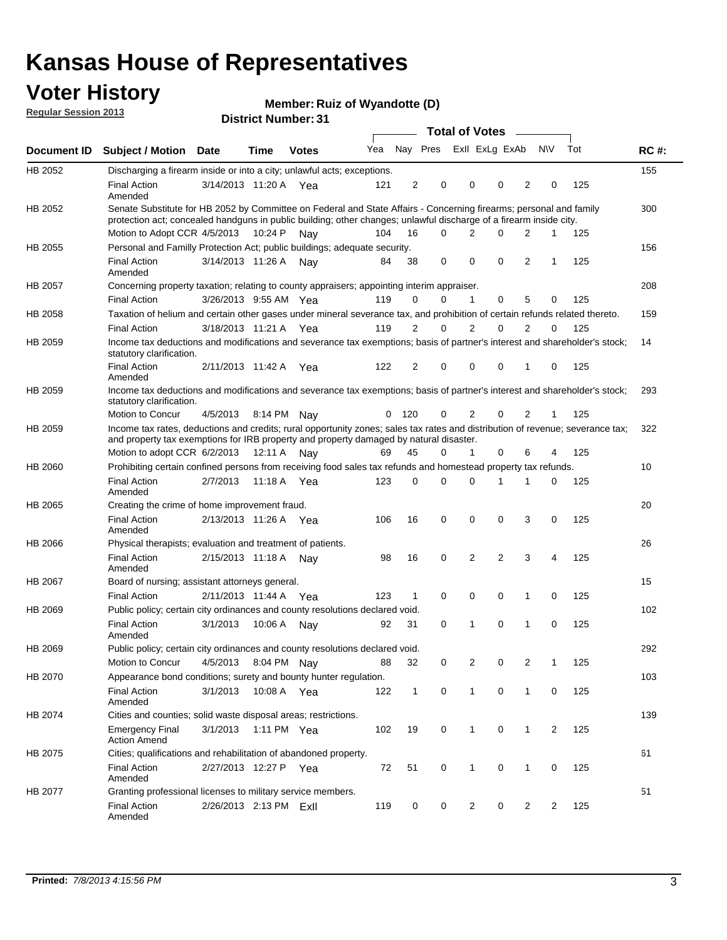### **Voter History**

**Member: Ruiz of Wyandotte (D)** 

**Regular Session 2013**

|                |                                                                                                                                                                                                                                          |                        |             | ו ט . וסעווואר ועוווסוע |     |                |                             | <b>Total of Votes</b> |          |                |           |     |             |
|----------------|------------------------------------------------------------------------------------------------------------------------------------------------------------------------------------------------------------------------------------------|------------------------|-------------|-------------------------|-----|----------------|-----------------------------|-----------------------|----------|----------------|-----------|-----|-------------|
| Document ID    | <b>Subject / Motion</b>                                                                                                                                                                                                                  | Date                   | Time        | <b>Votes</b>            |     |                | Yea Nay Pres ExII ExLg ExAb |                       |          |                | <b>NV</b> | Tot | <b>RC#:</b> |
| HB 2052        | Discharging a firearm inside or into a city; unlawful acts; exceptions.                                                                                                                                                                  |                        |             |                         |     |                |                             |                       |          |                |           |     | 155         |
|                | <b>Final Action</b><br>Amended                                                                                                                                                                                                           | 3/14/2013 11:20 A Yea  |             |                         | 121 | 2              | 0                           | 0                     | $\Omega$ | 2              | 0         | 125 |             |
| HB 2052        | Senate Substitute for HB 2052 by Committee on Federal and State Affairs - Concerning firearms; personal and family<br>protection act; concealed handguns in public building; other changes; unlawful discharge of a firearm inside city. |                        |             |                         |     |                |                             |                       |          |                |           |     | 300         |
|                | Motion to Adopt CCR 4/5/2013                                                                                                                                                                                                             |                        | 10:24 P     | Nav                     | 104 | 16             | 0                           | 2                     | $\Omega$ | 2              | 1         | 125 |             |
| HB 2055        | Personal and Familly Protection Act; public buildings; adequate security.                                                                                                                                                                |                        |             |                         |     |                |                             |                       |          |                |           |     | 156         |
|                | <b>Final Action</b><br>Amended                                                                                                                                                                                                           | 3/14/2013 11:26 A      |             | Nav                     | 84  | 38             | 0                           | 0                     | 0        | $\overline{2}$ | 1         | 125 |             |
| HB 2057        | Concerning property taxation; relating to county appraisers; appointing interim appraiser.                                                                                                                                               |                        |             |                         |     |                |                             |                       |          |                |           |     | 208         |
|                | <b>Final Action</b>                                                                                                                                                                                                                      | 3/26/2013 9:55 AM Yea  |             |                         | 119 | 0              | 0                           | 1                     | 0        | 5              | 0         | 125 |             |
| HB 2058        | Taxation of helium and certain other gases under mineral severance tax, and prohibition of certain refunds related thereto.                                                                                                              |                        |             |                         |     |                |                             |                       |          |                |           |     | 159         |
|                | <b>Final Action</b>                                                                                                                                                                                                                      | 3/18/2013 11:21 A Yea  |             |                         | 119 | 2              | 0                           | 2                     | $\Omega$ | $\overline{2}$ | $\Omega$  | 125 |             |
| HB 2059        | Income tax deductions and modifications and severance tax exemptions; basis of partner's interest and shareholder's stock;<br>statutory clarification.                                                                                   |                        |             |                         |     |                |                             |                       |          |                |           |     | 14          |
|                | <b>Final Action</b><br>Amended                                                                                                                                                                                                           | 2/11/2013 11:42 A      |             | Yea                     | 122 | $\overline{2}$ | 0                           | 0                     | 0        | 1              | 0         | 125 |             |
| HB 2059        | Income tax deductions and modifications and severance tax exemptions; basis of partner's interest and shareholder's stock;<br>statutory clarification.                                                                                   |                        |             |                         |     |                |                             |                       |          |                |           |     | 293         |
|                | Motion to Concur                                                                                                                                                                                                                         | 4/5/2013               |             | 8:14 PM Nay             | 0   | 120            | 0                           | $\overline{2}$        | 0        | $\overline{2}$ | 1         | 125 |             |
| HB 2059        | Income tax rates, deductions and credits; rural opportunity zones; sales tax rates and distribution of revenue; severance tax;<br>and property tax exemptions for IRB property and property damaged by natural disaster.                 |                        |             |                         |     |                |                             |                       |          |                |           |     | 322         |
|                | Motion to adopt CCR 6/2/2013                                                                                                                                                                                                             |                        | 12:11 A     | Nav                     | 69  | 45             | 0                           | $\mathbf{1}$          | 0        | 6              | 4         | 125 |             |
| <b>HB 2060</b> | Prohibiting certain confined persons from receiving food sales tax refunds and homestead property tax refunds.                                                                                                                           |                        |             |                         |     |                |                             |                       |          |                |           |     | 10          |
|                | <b>Final Action</b><br>Amended                                                                                                                                                                                                           | 2/7/2013               | 11:18 A     | Yea                     | 123 | $\mathbf 0$    | 0                           | 0                     | 1        | 1              | 0         | 125 |             |
| HB 2065        | Creating the crime of home improvement fraud.                                                                                                                                                                                            |                        |             |                         |     |                |                             |                       |          |                |           |     | 20          |
|                | <b>Final Action</b><br>Amended                                                                                                                                                                                                           | 2/13/2013 11:26 A Yea  |             |                         | 106 | 16             | 0                           | 0                     | 0        | 3              | 0         | 125 |             |
| <b>HB 2066</b> | Physical therapists; evaluation and treatment of patients.                                                                                                                                                                               |                        |             |                         |     |                |                             |                       |          |                |           |     | 26          |
|                | <b>Final Action</b><br>Amended                                                                                                                                                                                                           | 2/15/2013 11:18 A      |             | Nav                     | 98  | 16             | $\mathbf 0$                 | $\overline{2}$        | 2        | 3              | 4         | 125 |             |
| HB 2067        | Board of nursing; assistant attorneys general.                                                                                                                                                                                           |                        |             |                         |     |                |                             |                       |          |                |           |     | 15          |
|                | <b>Final Action</b>                                                                                                                                                                                                                      | 2/11/2013 11:44 A Yea  |             |                         | 123 | $\mathbf{1}$   | 0                           | 0                     | 0        | 1              | 0         | 125 |             |
| HB 2069        | Public policy; certain city ordinances and county resolutions declared void.                                                                                                                                                             |                        |             |                         |     |                |                             |                       |          |                |           |     | 102         |
|                | <b>Final Action</b><br>Amended                                                                                                                                                                                                           | 3/1/2013               | 10:06 A     | Nav                     | 92  | 31             | $\Omega$                    | 1                     | 0        | 1              | 0         | 125 |             |
| HB 2069        | Public policy; certain city ordinances and county resolutions declared void.                                                                                                                                                             |                        |             |                         |     |                |                             |                       |          |                |           |     | 292         |
|                | Motion to Concur                                                                                                                                                                                                                         | 4/5/2013               |             | 8:04 PM Nay             | 88  | 32             | 0                           | 2                     | 0        | 2              | 1         | 125 |             |
| HB 2070        | Appearance bond conditions; surety and bounty hunter regulation.                                                                                                                                                                         |                        |             |                         |     |                |                             |                       |          |                |           |     | 103         |
|                | <b>Final Action</b><br>Amended                                                                                                                                                                                                           | 3/1/2013               | 10:08 A Yea |                         | 122 | $\mathbf{1}$   | 0                           | $\mathbf{1}$          | 0        | $\mathbf{1}$   | 0         | 125 |             |
| HB 2074        | Cities and counties; solid waste disposal areas; restrictions.                                                                                                                                                                           |                        |             |                         |     |                |                             |                       |          |                |           |     | 139         |
|                | <b>Emergency Final</b><br><b>Action Amend</b>                                                                                                                                                                                            | 3/1/2013               |             | 1:11 PM Yea             | 102 | 19             | 0                           | 1                     | 0        | $\mathbf{1}$   | 2         | 125 |             |
| HB 2075        | Cities; qualifications and rehabilitation of abandoned property.                                                                                                                                                                         |                        |             |                         |     |                |                             |                       |          |                |           |     | 61          |
|                | <b>Final Action</b><br>Amended                                                                                                                                                                                                           | 2/27/2013 12:27 P Yea  |             |                         | 72  | 51             | 0                           | 1                     | 0        | 1              | 0         | 125 |             |
| HB 2077        | Granting professional licenses to military service members.<br><b>Final Action</b><br>Amended                                                                                                                                            | 2/26/2013 2:13 PM ExII |             |                         | 119 | 0              | 0                           | 2                     | 0        | 2              | 2         | 125 | 51          |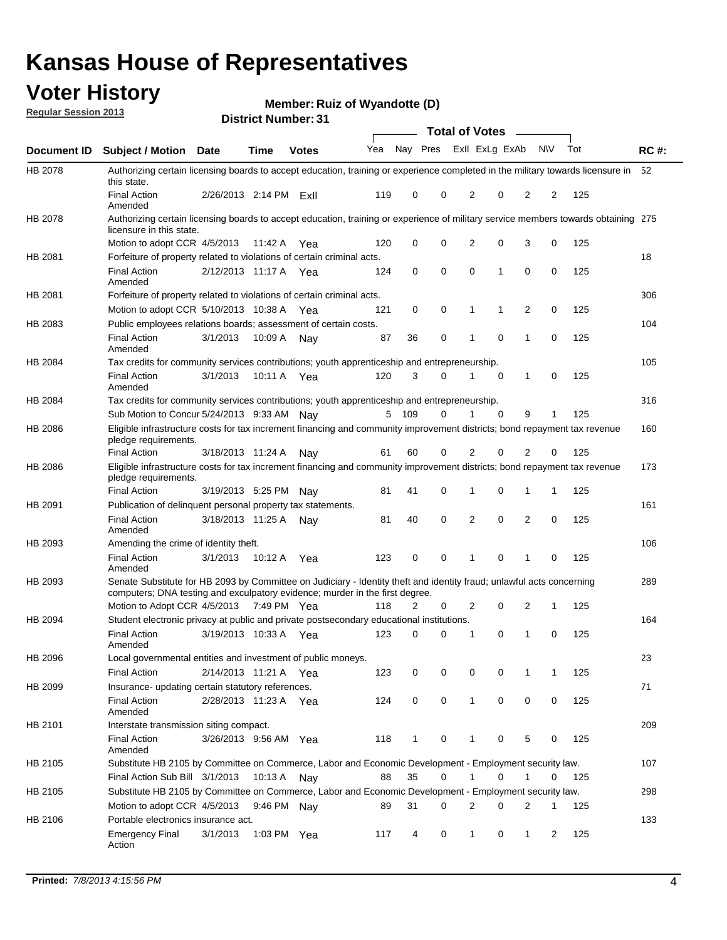### **Voter History**

**Member: Ruiz of Wyandotte (D)** 

**Regular Session 2013**

|             |                                                                                                                                                                                                       |                       |             | ו ט . וסעווואז ואו ואכו ע |     |              |             | <b>Total of Votes</b> |          | $\sim$         |           |     |             |
|-------------|-------------------------------------------------------------------------------------------------------------------------------------------------------------------------------------------------------|-----------------------|-------------|---------------------------|-----|--------------|-------------|-----------------------|----------|----------------|-----------|-----|-------------|
| Document ID | <b>Subject / Motion Date</b>                                                                                                                                                                          |                       | <b>Time</b> | <b>Votes</b>              | Yea | Nay Pres     |             | Exll ExLg ExAb        |          |                | <b>NV</b> | Tot | <b>RC#:</b> |
| HB 2078     | Authorizing certain licensing boards to accept education, training or experience completed in the military towards licensure in<br>this state.                                                        |                       |             |                           |     |              |             |                       |          |                |           |     | 52          |
|             | <b>Final Action</b><br>Amended                                                                                                                                                                        | 2/26/2013 2:14 PM     |             | ExII                      | 119 | 0            | 0           | 2                     | 0        | 2              | 2         | 125 |             |
| HB 2078     | Authorizing certain licensing boards to accept education, training or experience of military service members towards obtaining 275<br>licensure in this state.                                        |                       |             |                           |     |              |             |                       |          |                |           |     |             |
|             | Motion to adopt CCR 4/5/2013                                                                                                                                                                          |                       | 11:42 A     | Yea                       | 120 | 0            | $\mathbf 0$ | $\overline{2}$        | 0        | 3              | 0         | 125 |             |
| HB 2081     | Forfeiture of property related to violations of certain criminal acts.                                                                                                                                |                       |             |                           |     |              |             |                       |          |                |           |     | 18          |
|             | <b>Final Action</b><br>Amended                                                                                                                                                                        | 2/12/2013 11:17 A Yea |             |                           | 124 | 0            | 0           | $\Omega$              | 1        | 0              | 0         | 125 |             |
| HB 2081     | Forfeiture of property related to violations of certain criminal acts.                                                                                                                                |                       |             |                           |     |              |             |                       |          |                |           |     | 306         |
|             | Motion to adopt CCR 5/10/2013 10:38 A                                                                                                                                                                 |                       |             | Yea                       | 121 | 0            | 0           | 1                     | 1        | 2              | 0         | 125 |             |
| HB 2083     | Public employees relations boards; assessment of certain costs.                                                                                                                                       |                       |             |                           |     |              |             |                       |          |                |           |     | 104         |
|             | <b>Final Action</b><br>Amended                                                                                                                                                                        | 3/1/2013              | 10:09 A     | Nay                       | 87  | 36           | 0           | 1                     | 0        | 1              | 0         | 125 |             |
| HB 2084     | Tax credits for community services contributions; youth apprenticeship and entrepreneurship.                                                                                                          |                       |             |                           |     |              |             |                       |          |                |           |     | 105         |
|             | <b>Final Action</b><br>Amended                                                                                                                                                                        | 3/1/2013              | 10:11 A     | Yea                       | 120 | 3            | $\Omega$    | 1                     | 0        | $\mathbf{1}$   | 0         | 125 |             |
| HB 2084     | Tax credits for community services contributions; youth apprenticeship and entrepreneurship.                                                                                                          |                       |             |                           |     |              |             |                       |          |                |           |     | 316         |
|             | Sub Motion to Concur 5/24/2013 9:33 AM Nav                                                                                                                                                            |                       |             |                           | 5   | - 109        | $\Omega$    | 1                     | $\Omega$ | 9              | 1         | 125 |             |
| HB 2086     | Eligible infrastructure costs for tax increment financing and community improvement districts; bond repayment tax revenue<br>pledge requirements.                                                     |                       |             |                           |     |              |             |                       |          |                |           |     | 160         |
|             | <b>Final Action</b>                                                                                                                                                                                   | 3/18/2013 11:24 A     |             | Nay                       | 61  | 60           | 0           | 2                     | 0        | 2              | 0         | 125 |             |
| HB 2086     | Eligible infrastructure costs for tax increment financing and community improvement districts; bond repayment tax revenue<br>pledge requirements.                                                     |                       |             |                           |     |              |             |                       |          |                |           |     | 173         |
|             | <b>Final Action</b>                                                                                                                                                                                   | 3/19/2013 5:25 PM     |             | Nay                       | 81  | 41           | 0           | 1                     | 0        | 1              | 1         | 125 |             |
| HB 2091     | Publication of delinquent personal property tax statements.                                                                                                                                           |                       |             |                           |     |              |             |                       |          |                |           |     | 161         |
|             | <b>Final Action</b><br>Amended                                                                                                                                                                        | 3/18/2013 11:25 A     |             | Nav                       | 81  | 40           | 0           | 2                     | 0        | $\overline{2}$ | 0         | 125 |             |
| HB 2093     | Amending the crime of identity theft.                                                                                                                                                                 |                       |             |                           |     |              |             |                       |          |                |           |     | 106         |
|             | <b>Final Action</b><br>Amended                                                                                                                                                                        | 3/1/2013              | 10:12 A     | Yea                       | 123 | 0            | $\Omega$    | 1                     | 0        | 1              | 0         | 125 |             |
| HB 2093     | Senate Substitute for HB 2093 by Committee on Judiciary - Identity theft and identity fraud; unlawful acts concerning<br>computers; DNA testing and exculpatory evidence; murder in the first degree. |                       |             |                           |     |              |             |                       |          |                |           |     | 289         |
|             | Motion to Adopt CCR 4/5/2013 7:49 PM Yea                                                                                                                                                              |                       |             |                           | 118 | 2            | 0           | 2                     | 0        | 2              | 1         | 125 |             |
| HB 2094     | Student electronic privacy at public and private postsecondary educational institutions.                                                                                                              |                       |             |                           |     |              |             |                       |          |                |           |     | 164         |
|             | <b>Final Action</b><br>Amended                                                                                                                                                                        | 3/19/2013 10:33 A     |             | Yea                       | 123 | 0            | 0           | 1                     | 0        | 1              | 0         | 125 |             |
| HB 2096     | Local governmental entities and investment of public moneys.                                                                                                                                          |                       |             |                           |     |              |             |                       |          |                |           |     | 23          |
|             | <b>Final Action</b>                                                                                                                                                                                   | 2/14/2013 11:21 A     |             | Yea                       | 123 | 0            | 0           | 0                     | 0        | 1              | 1         | 125 |             |
| HB 2099     | Insurance- updating certain statutory references.                                                                                                                                                     |                       |             |                           |     |              |             |                       |          |                |           |     | 71          |
|             | <b>Final Action</b><br>Amended                                                                                                                                                                        | 2/28/2013 11:23 A     |             | Yea                       | 124 | 0            | 0           | 1                     | 0        | 0              | 0         | 125 |             |
| HB 2101     | Interstate transmission siting compact.                                                                                                                                                               |                       |             |                           |     |              |             |                       |          |                |           |     | 209         |
|             | <b>Final Action</b><br>Amended                                                                                                                                                                        | 3/26/2013 9:56 AM Yea |             |                           | 118 | $\mathbf{1}$ | 0           | 1                     | 0        | 5              | 0         | 125 |             |
| HB 2105     | Substitute HB 2105 by Committee on Commerce, Labor and Economic Development - Employment security law.                                                                                                |                       |             |                           |     |              |             |                       |          |                |           |     | 107         |
|             | Final Action Sub Bill 3/1/2013                                                                                                                                                                        |                       | 10:13 A Nay |                           | 88  | 35           | 0           |                       | 0        | 1              | 0         | 125 |             |
| HB 2105     | Substitute HB 2105 by Committee on Commerce, Labor and Economic Development - Employment security law.                                                                                                |                       |             |                           |     |              |             |                       |          |                |           |     | 298         |
|             | Motion to adopt CCR 4/5/2013                                                                                                                                                                          |                       | 9:46 PM Nay |                           | 89  | 31           | 0           | 2                     | 0        | 2              | 1         | 125 |             |
| HB 2106     | Portable electronics insurance act.                                                                                                                                                                   |                       |             |                           |     |              |             |                       |          |                |           |     | 133         |
|             | <b>Emergency Final</b><br>Action                                                                                                                                                                      | 3/1/2013              | 1:03 PM Yea |                           | 117 | 4            | 0           | $\mathbf{1}$          | 0        | $\mathbf{1}$   | 2         | 125 |             |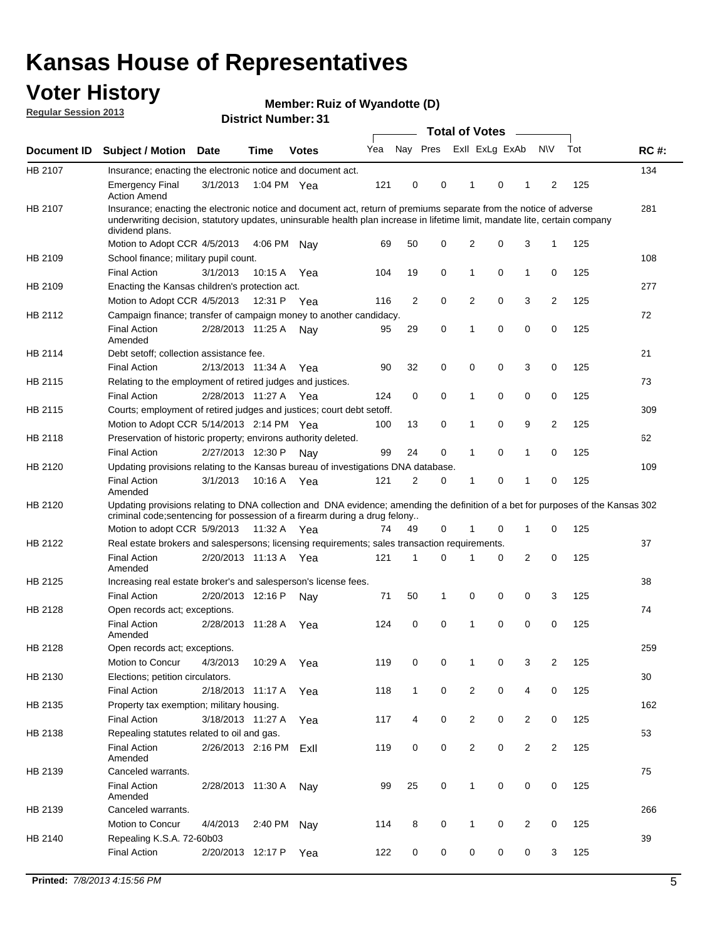### **Voter History**

**Member: Ruiz of Wyandotte (D)** 

**Regular Session 2013**

|             |                                                                                                                                                                                                                                                                      |                       | PIJUIVI IIUIIIIVUI . J I |              |     |              | <b>Total of Votes</b> |                |   | $\overline{\phantom{a}}$ |                |     |             |
|-------------|----------------------------------------------------------------------------------------------------------------------------------------------------------------------------------------------------------------------------------------------------------------------|-----------------------|--------------------------|--------------|-----|--------------|-----------------------|----------------|---|--------------------------|----------------|-----|-------------|
| Document ID | <b>Subject / Motion</b>                                                                                                                                                                                                                                              | <b>Date</b>           | <b>Time</b>              | <b>Votes</b> | Yea | Nay Pres     |                       | Exll ExLg ExAb |   |                          | <b>NV</b>      | Tot | <b>RC#:</b> |
| HB 2107     | Insurance; enacting the electronic notice and document act.                                                                                                                                                                                                          |                       |                          |              |     |              |                       |                |   |                          |                |     | 134         |
|             | <b>Emergency Final</b><br><b>Action Amend</b>                                                                                                                                                                                                                        | 3/1/2013              | 1:04 PM Yea              |              | 121 | 0            | 0                     | 1              | 0 | 1                        | 2              | 125 |             |
| HB 2107     | Insurance; enacting the electronic notice and document act, return of premiums separate from the notice of adverse<br>underwriting decision, statutory updates, uninsurable health plan increase in lifetime limit, mandate lite, certain company<br>dividend plans. |                       |                          |              |     |              |                       |                |   |                          |                |     | 281         |
|             | Motion to Adopt CCR 4/5/2013                                                                                                                                                                                                                                         |                       | 4:06 PM                  | Nav          | 69  | 50           | 0                     | 2              | 0 | 3                        | $\mathbf{1}$   | 125 |             |
| HB 2109     | School finance; military pupil count.                                                                                                                                                                                                                                |                       |                          |              |     |              |                       |                |   |                          |                |     | 108         |
|             | <b>Final Action</b>                                                                                                                                                                                                                                                  | 3/1/2013              | 10:15 A                  | Yea          | 104 | 19           | 0                     | 1              | 0 | $\mathbf{1}$             | 0              | 125 |             |
| HB 2109     | Enacting the Kansas children's protection act.                                                                                                                                                                                                                       |                       |                          |              |     |              |                       |                |   |                          |                |     | 277         |
|             | Motion to Adopt CCR 4/5/2013                                                                                                                                                                                                                                         |                       | 12:31 P Yea              |              | 116 | 2            | 0                     | $\overline{2}$ | 0 | 3                        | 2              | 125 |             |
| HB 2112     | Campaign finance; transfer of campaign money to another candidacy.                                                                                                                                                                                                   |                       |                          |              |     |              |                       |                |   |                          |                |     | 72          |
|             | <b>Final Action</b><br>Amended                                                                                                                                                                                                                                       | 2/28/2013 11:25 A     |                          | Nay          | 95  | 29           | 0                     | 1              | 0 | 0                        | 0              | 125 |             |
| HB 2114     | Debt setoff: collection assistance fee.                                                                                                                                                                                                                              |                       |                          |              |     |              |                       |                |   |                          |                |     | 21          |
|             | <b>Final Action</b>                                                                                                                                                                                                                                                  | 2/13/2013 11:34 A     |                          | Yea          | 90  | 32           | 0                     | 0              | 0 | 3                        | 0              | 125 |             |
| HB 2115     | Relating to the employment of retired judges and justices.                                                                                                                                                                                                           |                       |                          |              |     |              |                       |                |   |                          |                |     | 73          |
|             | <b>Final Action</b>                                                                                                                                                                                                                                                  | 2/28/2013 11:27 A     |                          | Yea          | 124 | 0            | 0                     | 1              | 0 | 0                        | 0              | 125 |             |
| HB 2115     | Courts; employment of retired judges and justices; court debt setoff.                                                                                                                                                                                                |                       |                          |              |     |              |                       |                |   |                          |                |     | 309         |
|             | Motion to Adopt CCR 5/14/2013 2:14 PM Yea                                                                                                                                                                                                                            |                       |                          |              | 100 | 13           | 0                     | 1              | 0 | 9                        | 2              | 125 |             |
| HB 2118     | Preservation of historic property; environs authority deleted.                                                                                                                                                                                                       |                       |                          |              |     |              |                       |                |   |                          |                |     | 62          |
|             | <b>Final Action</b>                                                                                                                                                                                                                                                  | 2/27/2013 12:30 P     |                          | Nay          | 99  | 24           | 0                     | 1              | 0 | $\mathbf{1}$             | 0              | 125 |             |
| HB 2120     | Updating provisions relating to the Kansas bureau of investigations DNA database.                                                                                                                                                                                    |                       |                          |              |     |              |                       |                |   |                          |                |     | 109         |
|             | <b>Final Action</b><br>Amended                                                                                                                                                                                                                                       | 3/1/2013              | 10:16 A                  | Yea          | 121 | 2            | 0                     | 1              | 0 | 1                        | 0              | 125 |             |
| HB 2120     | Updating provisions relating to DNA collection and DNA evidence; amending the definition of a bet for purposes of the Kansas 302                                                                                                                                     |                       |                          |              |     |              |                       |                |   |                          |                |     |             |
|             | criminal code; sentencing for possession of a firearm during a drug felony                                                                                                                                                                                           |                       |                          |              |     |              |                       |                |   |                          |                |     |             |
|             | Motion to adopt CCR 5/9/2013                                                                                                                                                                                                                                         |                       | 11:32 A Yea              |              | 74  | 49           | 0                     | 1              | 0 | $\mathbf 1$              | 0              | 125 |             |
| HB 2122     | Real estate brokers and salespersons; licensing requirements; sales transaction requirements.                                                                                                                                                                        |                       |                          |              |     |              |                       |                |   |                          |                |     | 37          |
|             | <b>Final Action</b><br>Amended                                                                                                                                                                                                                                       | 2/20/2013 11:13 A Yea |                          |              | 121 | 1            | 0                     |                | 0 | 2                        | 0              | 125 |             |
| HB 2125     | Increasing real estate broker's and salesperson's license fees.                                                                                                                                                                                                      |                       |                          |              |     |              |                       |                |   |                          |                |     | 38          |
|             | <b>Final Action</b>                                                                                                                                                                                                                                                  | 2/20/2013 12:16 P     |                          | Nay          | 71  | 50           | 1                     | 0              | 0 | 0                        | 3              | 125 |             |
| HB 2128     | Open records act; exceptions.                                                                                                                                                                                                                                        |                       |                          |              |     |              |                       |                |   |                          |                |     | 74          |
|             | <b>Final Action</b>                                                                                                                                                                                                                                                  | 2/28/2013 11:28 A     |                          | Yea          | 124 | 0            | 0                     | 1              | 0 | 0                        | 0              | 125 |             |
| HB 2128     | Amended                                                                                                                                                                                                                                                              |                       |                          |              |     |              |                       |                |   |                          |                |     | 259         |
|             | Open records act; exceptions.                                                                                                                                                                                                                                        |                       | 10:29 A                  |              |     |              |                       | 1              |   |                          | 2              |     |             |
|             | Motion to Concur                                                                                                                                                                                                                                                     | 4/3/2013              |                          | Yea          | 119 | 0            | 0                     |                | 0 | 3                        |                | 125 |             |
| HB 2130     | Elections; petition circulators.                                                                                                                                                                                                                                     |                       |                          |              |     |              |                       |                |   |                          |                |     | 30          |
|             | <b>Final Action</b>                                                                                                                                                                                                                                                  | 2/18/2013 11:17 A     |                          | Yea          | 118 | $\mathbf{1}$ | 0                     | $\overline{c}$ | 0 | 4                        | 0              | 125 |             |
| HB 2135     | Property tax exemption; military housing.                                                                                                                                                                                                                            |                       |                          |              |     |              |                       |                |   |                          |                |     | 162         |
|             | <b>Final Action</b>                                                                                                                                                                                                                                                  | 3/18/2013 11:27 A     |                          | Yea          | 117 | 4            | 0                     | $\overline{c}$ | 0 | $\overline{2}$           | 0              | 125 |             |
| HB 2138     | Repealing statutes related to oil and gas.                                                                                                                                                                                                                           |                       |                          |              |     |              |                       |                |   |                          |                |     | 53          |
|             | <b>Final Action</b><br>Amended                                                                                                                                                                                                                                       | 2/26/2013 2:16 PM     |                          | ExIl         | 119 | 0            | 0                     | $\overline{2}$ | 0 | $\overline{2}$           | $\overline{2}$ | 125 |             |
| HB 2139     | Canceled warrants.                                                                                                                                                                                                                                                   |                       |                          |              |     |              |                       |                |   |                          |                |     | 75          |
|             | <b>Final Action</b><br>Amended                                                                                                                                                                                                                                       | 2/28/2013 11:30 A     |                          | Nay          | 99  | 25           | 0                     | 1              | 0 | 0                        | 0              | 125 |             |
| HB 2139     | Canceled warrants.                                                                                                                                                                                                                                                   |                       |                          |              |     |              |                       |                |   |                          |                |     | 266         |
|             | Motion to Concur                                                                                                                                                                                                                                                     | 4/4/2013              | 2:40 PM                  | Nay          | 114 | 8            | 0                     | 1              | 0 | 2                        | 0              | 125 |             |
| HB 2140     | Repealing K.S.A. 72-60b03                                                                                                                                                                                                                                            |                       |                          |              |     |              |                       |                |   |                          |                |     | 39          |
|             | <b>Final Action</b>                                                                                                                                                                                                                                                  | 2/20/2013 12:17 P     |                          | Yea          | 122 | 0            | 0                     | 0              | 0 | 0                        | 3              | 125 |             |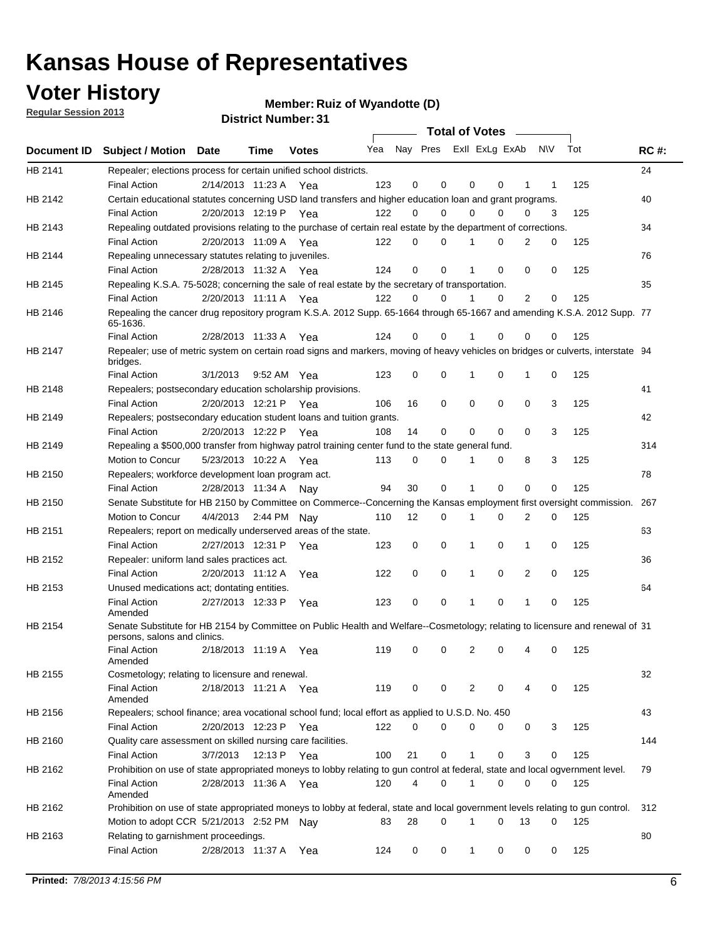### **Voter History**

**Member: Ruiz of Wyandotte (D)** 

**Regular Session 2013**

|             |                                                                                                                                                                              |          |                                        |              |                             |                | Total of Votes   |          |             |                |        |            |             |
|-------------|------------------------------------------------------------------------------------------------------------------------------------------------------------------------------|----------|----------------------------------------|--------------|-----------------------------|----------------|------------------|----------|-------------|----------------|--------|------------|-------------|
| Document ID | <b>Subject / Motion Date</b>                                                                                                                                                 |          | Time                                   | <b>Votes</b> | Yea Nay Pres Exll ExLg ExAb |                |                  |          |             |                | N\V    | Tot        | <b>RC#:</b> |
| HB 2141     | Repealer; elections process for certain unified school districts.<br><b>Final Action</b>                                                                                     |          | 2/14/2013 11:23 A Yea                  |              | 123                         | 0              | $\mathbf 0$      | 0        | 0           | 1              | 1      | 125        | 24          |
| HB 2142     | Certain educational statutes concerning USD land transfers and higher education loan and grant programs.<br><b>Final Action</b>                                              |          | 2/20/2013 12:19 P Yea                  |              | 122                         | 0              | 0                | $\Omega$ | $\Omega$    | 0              | 3      | 125        | 40          |
| HB 2143     | Repealing outdated provisions relating to the purchase of certain real estate by the department of corrections.<br><b>Final Action</b>                                       |          | 2/20/2013 11:09 A Yea                  |              | 122                         | 0              | 0                |          | $\Omega$    | $\overline{2}$ | 0      | 125        | 34          |
| HB 2144     | Repealing unnecessary statutes relating to juveniles.<br><b>Final Action</b>                                                                                                 |          | 2/28/2013 11:32 A Yea                  |              | 124                         | 0              | $\Omega$         |          | $\Omega$    | $\Omega$       | 0      | 125        | 76          |
| HB 2145     | Repealing K.S.A. 75-5028; concerning the sale of real estate by the secretary of transportation.<br><b>Final Action</b>                                                      |          | 2/20/2013 11:11 A Yea                  |              | 122                         | 0              | 0                | 1        | $\Omega$    | $\overline{2}$ | 0      | 125        | 35          |
| HB 2146     | Repealing the cancer drug repository program K.S.A. 2012 Supp. 65-1664 through 65-1667 and amending K.S.A. 2012 Supp. 77<br>65-1636.                                         |          |                                        |              |                             |                |                  |          |             |                |        |            |             |
| HB 2147     | <b>Final Action</b><br>Repealer; use of metric system on certain road signs and markers, moving of heavy vehicles on bridges or culverts, interstate 94<br>bridges.          |          | 2/28/2013 11:33 A                      | Yea          | 124                         | 0              | 0                |          | 0           | 0              | 0      | 125        |             |
| HB 2148     | <b>Final Action</b><br>Repealers; postsecondary education scholarship provisions.                                                                                            | 3/1/2013 |                                        | 9:52 AM Yea  | 123                         | 0              | 0                |          | 0           | 1              | 0      | 125        | 41          |
| HB 2149     | <b>Final Action</b><br>Repealers; postsecondary education student loans and tuition grants.<br><b>Final Action</b>                                                           |          | 2/20/2013 12:21 P<br>2/20/2013 12:22 P | Yea<br>Yea   | 106<br>108                  | 16<br>14       | 0<br>$\mathbf 0$ | 0<br>0   | 0<br>0      | 0<br>0         | 3<br>3 | 125<br>125 | 42          |
| HB 2149     | Repealing a \$500,000 transfer from highway patrol training center fund to the state general fund.<br>Motion to Concur                                                       |          | 5/23/2013 10:22 A Yea                  |              | 113                         | 0              | 0                | 1        | 0           | 8              | 3      | 125        | 314         |
| HB 2150     | Repealers; workforce development loan program act.<br><b>Final Action</b>                                                                                                    |          | 2/28/2013 11:34 A                      | Nay          | 94                          | 30             | $\mathbf 0$      | 1        | $\mathbf 0$ | 0              | 0      | 125        | 78          |
| HB 2150     | Senate Substitute for HB 2150 by Committee on Commerce--Concerning the Kansas employment first oversight commission.<br>Motion to Concur                                     |          | 4/4/2013 2:44 PM                       | Nay          | 110                         | 12             | 0                | 1        | 0           | 2              | 0      | 125        | 267         |
| HB 2151     | Repealers; report on medically underserved areas of the state.<br><b>Final Action</b>                                                                                        |          | 2/27/2013 12:31 P                      | Yea          | 123                         | 0              | 0                | 1        | 0           | $\mathbf{1}$   | 0      | 125        | 63          |
| HB 2152     | Repealer: uniform land sales practices act.<br><b>Final Action</b>                                                                                                           |          | 2/20/2013 11:12 A                      | Yea          | 122                         | 0              | 0                | 1        | 0           | 2              | 0      | 125        | 36          |
| HB 2153     | Unused medications act; dontating entities.<br><b>Final Action</b>                                                                                                           |          | 2/27/2013 12:33 P                      | Yea          | 123                         | 0              | $\mathbf 0$      |          | 0           | 1              | 0      | 125        | 64          |
| HB 2154     | Amended<br>Senate Substitute for HB 2154 by Committee on Public Health and Welfare--Cosmetology; relating to licensure and renewal of 31<br>persons, salons and clinics.     |          |                                        |              |                             |                |                  |          |             |                |        |            |             |
|             | <b>Final Action</b><br>Amended                                                                                                                                               |          | 2/18/2013 11:19 A                      | Yea          | 119                         | 0              | 0                | 2        | 0           |                | 0      | 125        |             |
| HB 2155     | Cosmetology; relating to licensure and renewal.<br><b>Final Action</b><br>Amended                                                                                            |          | 2/18/2013 11:21 A Yea                  |              | 119                         | 0              | 0                | 2        | 0           | 4              | 0      | 125        | 32          |
| HB 2156     | Repealers; school finance; area vocational school fund; local effort as applied to U.S.D. No. 450<br><b>Final Action</b>                                                     |          | 2/20/2013 12:23 P                      | Yea          | 122                         | 0              | 0                | 0        | 0           | 0              | 3      | 125        | 43          |
| HB 2160     | Quality care assessment on skilled nursing care facilities.<br><b>Final Action</b>                                                                                           | 3/7/2013 | 12:13 P                                | Yea          | 100                         | 21             | 0                | 1        | 0           | 3              | 0      | 125        | 144         |
| HB 2162     | Prohibition on use of state appropriated moneys to lobby relating to gun control at federal, state and local ogvernment level.<br><b>Final Action</b><br>Amended             |          | 2/28/2013 11:36 A Yea                  |              | 120                         | $\overline{4}$ | 0                | 1        | 0           | 0              | 0      | 125        | 79          |
| HB 2162     | Prohibition on use of state appropriated moneys to lobby at federal, state and local government levels relating to gun control.<br>Motion to adopt CCR 5/21/2013 2:52 PM Nay |          |                                        |              | 83                          | 28             | 0                | 1        | 0           | 13             | 0      | 125        | 312         |
| HB 2163     | Relating to garnishment proceedings.<br><b>Final Action</b>                                                                                                                  |          | 2/28/2013 11:37 A                      | Yea          | 124                         | 0              | 0                | 1        | 0           | 0              | 0      | 125        | 80          |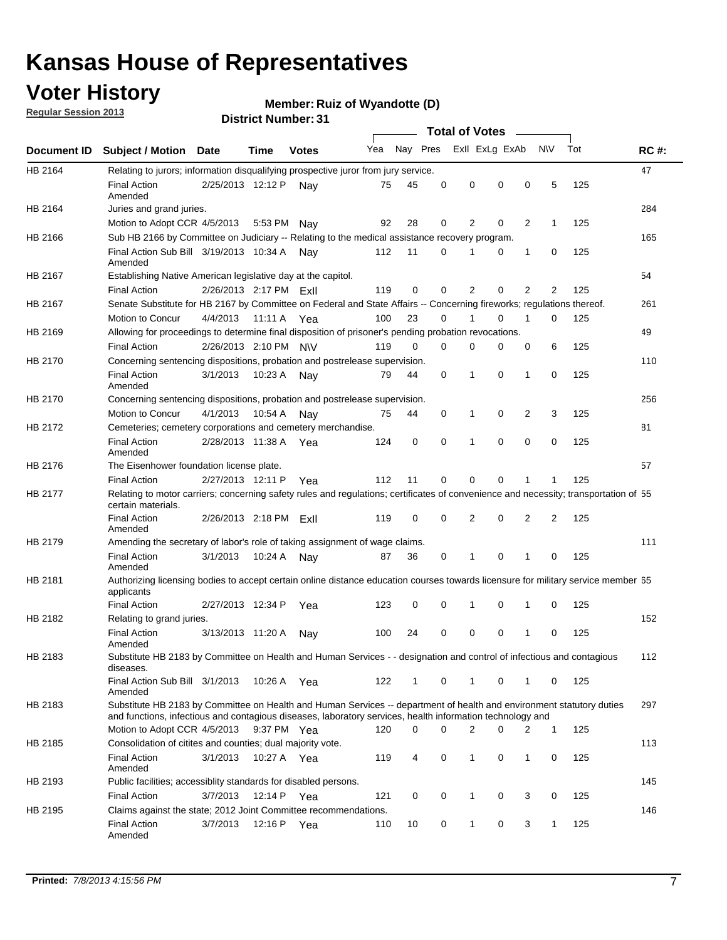### **Voter History**

**Member: Ruiz of Wyandotte (D)** 

**Regular Session 2013**

|                |                                                                                                                                                                                                                                    |                        |             |              |     |          |          | <b>Total of Votes</b> |   |              |              |     |             |
|----------------|------------------------------------------------------------------------------------------------------------------------------------------------------------------------------------------------------------------------------------|------------------------|-------------|--------------|-----|----------|----------|-----------------------|---|--------------|--------------|-----|-------------|
| Document ID    | <b>Subject / Motion Date</b>                                                                                                                                                                                                       |                        | Time        | <b>Votes</b> | Yea | Nay Pres |          | Exll ExLg ExAb        |   |              | <b>NV</b>    | Tot | <b>RC#:</b> |
| <b>HB 2164</b> | Relating to jurors; information disqualifying prospective juror from jury service.                                                                                                                                                 |                        |             |              |     |          |          |                       |   |              |              |     | 47          |
|                | <b>Final Action</b><br>Amended                                                                                                                                                                                                     | 2/25/2013 12:12 P      |             | Nav          | 75  | 45       | 0        | 0                     | 0 | 0            | 5            | 125 |             |
| HB 2164        | Juries and grand juries.                                                                                                                                                                                                           |                        |             |              |     |          |          |                       |   |              |              |     | 284         |
|                | Motion to Adopt CCR 4/5/2013                                                                                                                                                                                                       |                        | 5:53 PM     | Nay          | 92  | 28       | 0        | 2                     | 0 | 2            | $\mathbf{1}$ | 125 |             |
| HB 2166        | Sub HB 2166 by Committee on Judiciary -- Relating to the medical assistance recovery program.                                                                                                                                      |                        |             |              |     |          |          |                       |   |              |              |     | 165         |
|                | Final Action Sub Bill 3/19/2013 10:34 A<br>Amended                                                                                                                                                                                 |                        |             | Nay          | 112 | 11       | 0        |                       | 0 | 1            | 0            | 125 |             |
| HB 2167        | Establishing Native American legislative day at the capitol.                                                                                                                                                                       |                        |             |              |     |          |          |                       |   |              |              |     | 54          |
|                | <b>Final Action</b>                                                                                                                                                                                                                | 2/26/2013 2:17 PM Exil |             |              | 119 | 0        | 0        | 2                     | 0 | 2            | 2            | 125 |             |
| HB 2167        | Senate Substitute for HB 2167 by Committee on Federal and State Affairs -- Concerning fireworks; regulations thereof.                                                                                                              |                        |             |              |     |          |          |                       |   |              |              |     | 261         |
|                | Motion to Concur                                                                                                                                                                                                                   | 4/4/2013 11:11 A Yea   |             |              | 100 | 23       | 0        |                       | 0 | 1            | $\Omega$     | 125 |             |
| HB 2169        | Allowing for proceedings to determine final disposition of prisoner's pending probation revocations.                                                                                                                               |                        |             |              |     |          |          |                       |   |              |              |     | 49          |
|                | <b>Final Action</b>                                                                                                                                                                                                                | 2/26/2013 2:10 PM N\V  |             |              | 119 | $\Omega$ | $\Omega$ | 0                     | 0 | 0            | 6            | 125 |             |
| HB 2170        | Concerning sentencing dispositions, probation and postrelease supervision.                                                                                                                                                         |                        |             |              |     |          |          |                       |   |              |              |     | 110         |
|                | <b>Final Action</b><br>Amended                                                                                                                                                                                                     | 3/1/2013               | 10:23 A     | Nav          | 79  | 44       | 0        | 1                     | 0 | $\mathbf{1}$ | 0            | 125 |             |
| HB 2170        | Concerning sentencing dispositions, probation and postrelease supervision.                                                                                                                                                         |                        |             |              |     |          |          |                       |   |              |              |     | 256         |
|                | Motion to Concur                                                                                                                                                                                                                   | 4/1/2013               | 10:54 A     | Nav          | 75  | 44       | 0        | 1                     | 0 | 2            | 3            | 125 |             |
| HB 2172        | Cemeteries; cemetery corporations and cemetery merchandise.                                                                                                                                                                        |                        |             |              |     |          |          |                       |   |              |              |     | 81          |
|                | <b>Final Action</b><br>Amended                                                                                                                                                                                                     | 2/28/2013 11:38 A      |             | Yea          | 124 | 0        | 0        | 1                     | 0 | 0            | 0            | 125 |             |
| HB 2176        | The Eisenhower foundation license plate.                                                                                                                                                                                           |                        |             |              |     |          |          |                       |   |              |              |     | 57          |
|                | <b>Final Action</b>                                                                                                                                                                                                                | 2/27/2013 12:11 P      |             | Yea          | 112 | 11       | 0        | 0                     | 0 |              |              | 125 |             |
| HB 2177        | Relating to motor carriers; concerning safety rules and regulations; certificates of convenience and necessity; transportation of 55<br>certain materials.                                                                         |                        |             |              |     |          |          |                       |   |              |              |     |             |
|                | <b>Final Action</b><br>Amended                                                                                                                                                                                                     | 2/26/2013 2:18 PM ExII |             |              | 119 | 0        | 0        | 2                     | 0 | 2            | 2            | 125 |             |
| HB 2179        | Amending the secretary of labor's role of taking assignment of wage claims.                                                                                                                                                        |                        |             |              |     |          |          |                       |   |              |              |     | 111         |
|                | <b>Final Action</b><br>Amended                                                                                                                                                                                                     | 3/1/2013               | 10:24 A     | Nav          | 87  | 36       | 0        | 1                     | 0 | 1            | 0            | 125 |             |
| HB 2181        | Authorizing licensing bodies to accept certain online distance education courses towards licensure for military service member 55<br>applicants                                                                                    |                        |             |              |     |          |          |                       |   |              |              |     |             |
|                | <b>Final Action</b>                                                                                                                                                                                                                | 2/27/2013 12:34 P      |             | Yea          | 123 | 0        | 0        | 1                     | 0 | 1            | 0            | 125 |             |
| HB 2182        | Relating to grand juries.                                                                                                                                                                                                          |                        |             |              |     |          |          |                       |   |              |              |     | 152         |
|                | <b>Final Action</b><br>Amended                                                                                                                                                                                                     | 3/13/2013 11:20 A      |             | Nav          | 100 | 24       | 0        | 0                     | 0 | 1            | 0            | 125 |             |
| HB 2183        | Substitute HB 2183 by Committee on Health and Human Services - - designation and control of infectious and contagious<br>diseases.                                                                                                 |                        |             |              |     |          |          |                       |   |              |              |     | 112         |
|                | Final Action Sub Bill 3/1/2013<br>Amended                                                                                                                                                                                          |                        | 10:26 A Yea |              | 122 | 1        | 0        | $\mathbf{1}$          | 0 | 1            | 0            | 125 |             |
| HB 2183        | Substitute HB 2183 by Committee on Health and Human Services -- department of health and environment statutory duties<br>and functions, infectious and contagious diseases, laboratory services, health information technology and |                        |             |              |     |          |          |                       |   |              |              |     | 297         |
|                | Motion to Adopt CCR 4/5/2013                                                                                                                                                                                                       |                        | 9:37 PM Yea |              | 120 | 0        | $\Omega$ | 2                     | 0 | 2            | $\mathbf{1}$ | 125 |             |
| HB 2185        | Consolidation of citites and counties; dual majority vote.                                                                                                                                                                         |                        |             |              |     |          |          |                       |   |              |              |     | 113         |
|                | <b>Final Action</b><br>Amended                                                                                                                                                                                                     | 3/1/2013               |             | 10:27 A Yea  | 119 | 4        | 0        | 1                     | 0 | 1            | 0            | 125 |             |
| HB 2193        | Public facilities; accessiblity standards for disabled persons.                                                                                                                                                                    |                        |             |              |     |          |          |                       |   |              |              |     | 145         |
|                | <b>Final Action</b>                                                                                                                                                                                                                | 3/7/2013               | 12:14 P Yea |              | 121 | 0        | 0        | 1                     | 0 | 3            | 0            | 125 |             |
| HB 2195        | Claims against the state; 2012 Joint Committee recommendations.                                                                                                                                                                    |                        |             |              |     |          |          |                       |   |              |              |     | 146         |
|                | <b>Final Action</b><br>Amended                                                                                                                                                                                                     | 3/7/2013               | 12:16 P Yea |              | 110 | 10       | 0        | $\mathbf{1}$          | 0 | 3            | $\mathbf{1}$ | 125 |             |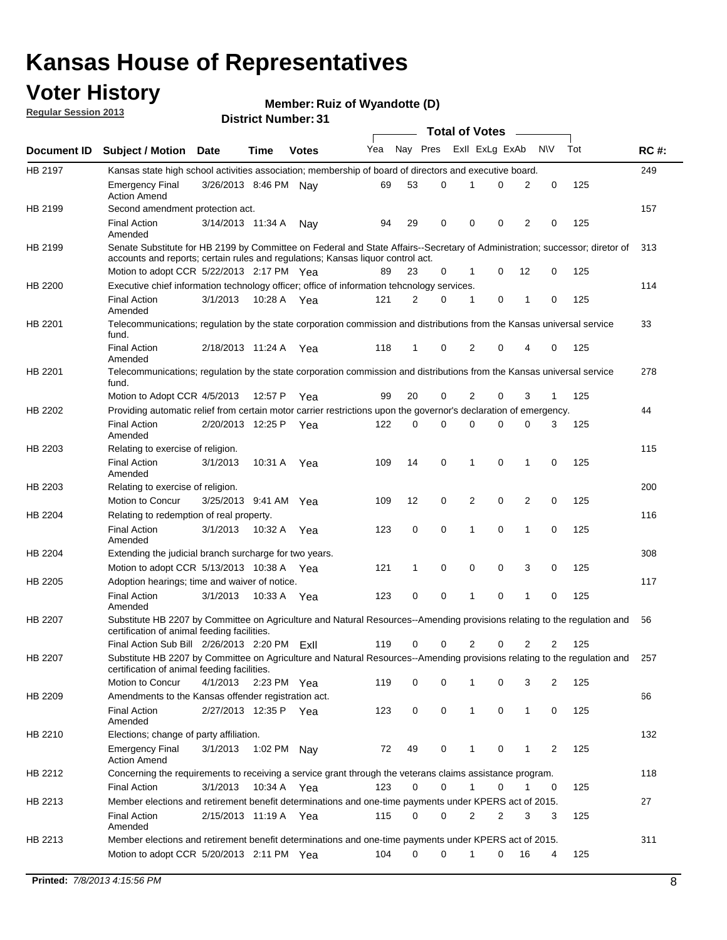### **Voter History**

**Member: Ruiz of Wyandotte (D)** 

**Regular Session 2013**

|                |                                                                                                                                                                                                                |                       |             |              |     |             |          | <b>Total of Votes</b> |   |                |              |     |             |
|----------------|----------------------------------------------------------------------------------------------------------------------------------------------------------------------------------------------------------------|-----------------------|-------------|--------------|-----|-------------|----------|-----------------------|---|----------------|--------------|-----|-------------|
| Document ID    | <b>Subject / Motion Date</b>                                                                                                                                                                                   |                       | Time        | <b>Votes</b> | Yea | Nay Pres    |          | Exll ExLg ExAb        |   |                | <b>NV</b>    | Tot | <b>RC#:</b> |
| HB 2197        | Kansas state high school activities association; membership of board of directors and executive board.                                                                                                         |                       |             |              |     |             |          |                       |   |                |              |     | 249         |
|                | <b>Emergency Final</b><br><b>Action Amend</b>                                                                                                                                                                  | 3/26/2013 8:46 PM Nay |             |              | 69  | 53          | 0        |                       | 0 | 2              | 0            | 125 |             |
| HB 2199        | Second amendment protection act.                                                                                                                                                                               |                       |             |              |     |             |          |                       |   |                |              |     | 157         |
|                | <b>Final Action</b><br>Amended                                                                                                                                                                                 | 3/14/2013 11:34 A     |             | Nav          | 94  | 29          | 0        | 0                     | 0 | 2              | 0            | 125 |             |
| HB 2199        | Senate Substitute for HB 2199 by Committee on Federal and State Affairs--Secretary of Administration; successor; diretor of<br>accounts and reports; certain rules and regulations; Kansas liguor control act. |                       |             |              |     |             |          |                       |   |                |              |     | 313         |
|                | Motion to adopt CCR 5/22/2013 2:17 PM Yea                                                                                                                                                                      |                       |             |              | 89  | 23          | 0        | 1                     | 0 | 12             | 0            | 125 |             |
| HB 2200        | Executive chief information technology officer; office of information tehcnology services.                                                                                                                     |                       |             |              |     |             |          |                       |   |                |              |     | 114         |
|                | <b>Final Action</b><br>Amended                                                                                                                                                                                 | 3/1/2013              | 10:28 A     | Yea          | 121 | 2           | 0        | 1                     | 0 | 1              | 0            | 125 |             |
| HB 2201        | Telecommunications; regulation by the state corporation commission and distributions from the Kansas universal service<br>fund.                                                                                |                       |             |              |     |             |          |                       |   |                |              |     | 33          |
|                | <b>Final Action</b><br>Amended                                                                                                                                                                                 | 2/18/2013 11:24 A     |             | Yea          | 118 | 1           | 0        | 2                     | 0 | 4              | 0            | 125 |             |
| HB 2201        | Telecommunications; regulation by the state corporation commission and distributions from the Kansas universal service<br>fund.                                                                                |                       |             |              |     |             |          |                       |   |                |              |     | 278         |
|                | Motion to Adopt CCR 4/5/2013                                                                                                                                                                                   |                       | 12:57 P     | Yea          | 99  | 20          | 0        | 2                     | 0 | 3              | $\mathbf{1}$ | 125 |             |
| HB 2202        | Providing automatic relief from certain motor carrier restrictions upon the governor's declaration of emergency.                                                                                               |                       |             |              |     |             |          |                       |   |                |              |     | 44          |
|                | <b>Final Action</b><br>Amended                                                                                                                                                                                 | 2/20/2013 12:25 P     |             | Yea          | 122 | 0           | 0        | 0                     | 0 | 0              | 3            | 125 |             |
| HB 2203        | Relating to exercise of religion.                                                                                                                                                                              |                       |             |              |     |             |          |                       |   |                |              |     | 115         |
|                | <b>Final Action</b><br>Amended                                                                                                                                                                                 | 3/1/2013              | 10:31 A     | Yea          | 109 | 14          | 0        | 1                     | 0 | 1              | 0            | 125 |             |
| HB 2203        | Relating to exercise of religion.                                                                                                                                                                              |                       |             |              |     |             |          |                       |   |                |              |     | 200         |
|                | Motion to Concur                                                                                                                                                                                               | 3/25/2013 9:41 AM     |             | Yea          | 109 | 12          | 0        | 2                     | 0 | 2              | 0            | 125 |             |
| HB 2204        | Relating to redemption of real property.                                                                                                                                                                       |                       |             |              |     |             |          |                       |   |                |              |     | 116         |
|                | <b>Final Action</b><br>Amended                                                                                                                                                                                 | 3/1/2013              | 10:32 A     | Yea          | 123 | $\mathbf 0$ | 0        | 1                     | 0 | $\mathbf{1}$   | 0            | 125 |             |
| HB 2204        | Extending the judicial branch surcharge for two years.                                                                                                                                                         |                       |             |              |     |             |          |                       |   |                |              |     | 308         |
|                | Motion to adopt CCR 5/13/2013 10:38 A Yea                                                                                                                                                                      |                       |             |              | 121 | 1           | 0        | 0                     | 0 | 3              | 0            | 125 |             |
| HB 2205        | Adoption hearings; time and waiver of notice.                                                                                                                                                                  |                       |             |              |     |             |          |                       |   |                |              |     | 117         |
|                | <b>Final Action</b><br>Amended                                                                                                                                                                                 | 3/1/2013              |             | 10:33 A Yea  | 123 | 0           | 0        | 1                     | 0 | 1              | 0            | 125 |             |
| HB 2207        | Substitute HB 2207 by Committee on Agriculture and Natural Resources--Amending provisions relating to the regulation and<br>certification of animal feeding facilities.                                        |                       |             |              |     |             |          |                       |   |                |              |     | 56          |
|                | Final Action Sub Bill 2/26/2013 2:20 PM ExII                                                                                                                                                                   |                       |             |              | 119 | 0           | 0        | 2                     | 0 | $\overline{2}$ | 2            | 125 |             |
| <b>HB 2207</b> | Substitute HB 2207 by Committee on Agriculture and Natural Resources--Amending provisions relating to the regulation and 257<br>certification of animal feeding facilities.                                    |                       |             |              |     |             |          |                       |   |                |              |     |             |
|                | Motion to Concur                                                                                                                                                                                               | 4/1/2013              | 2:23 PM Yea |              | 119 | 0           | 0        | 1                     | 0 | 3              | 2            | 125 |             |
| HB 2209        | Amendments to the Kansas offender registration act.                                                                                                                                                            |                       |             |              |     |             |          |                       |   |                |              |     | 66          |
|                | <b>Final Action</b><br>Amended                                                                                                                                                                                 | 2/27/2013 12:35 P Yea |             |              | 123 | 0           | 0        | $\mathbf{1}$          | 0 | $\mathbf{1}$   | 0            | 125 |             |
| HB 2210        | Elections; change of party affiliation.                                                                                                                                                                        |                       |             |              |     |             |          |                       |   |                |              |     | 132         |
|                | <b>Emergency Final</b><br><b>Action Amend</b>                                                                                                                                                                  | 3/1/2013              | 1:02 PM Nay |              | 72  | 49          | 0        |                       | 0 | 1              | 2            | 125 |             |
| HB 2212        | Concerning the requirements to receiving a service grant through the veterans claims assistance program.<br><b>Final Action</b>                                                                                | 3/1/2013              |             | 10:34 A Yea  | 123 | 0           | 0        | $\mathbf{1}$          | 0 | 1              | 0            | 125 | 118         |
| HB 2213        | Member elections and retirement benefit determinations and one-time payments under KPERS act of 2015.                                                                                                          |                       |             |              |     |             |          |                       |   |                |              |     | 27          |
|                | <b>Final Action</b><br>Amended                                                                                                                                                                                 | 2/15/2013 11:19 A Yea |             |              | 115 | 0           | 0        | 2                     | 2 | 3              | 3            | 125 |             |
| HB 2213        | Member elections and retirement benefit determinations and one-time payments under KPERS act of 2015.                                                                                                          |                       |             |              |     |             |          |                       |   |                |              |     | 311         |
|                | Motion to adopt CCR 5/20/2013 2:11 PM Yea                                                                                                                                                                      |                       |             |              | 104 | $\Omega$    | $\Omega$ | $\mathbf{1}$          | 0 | 16             | 4            | 125 |             |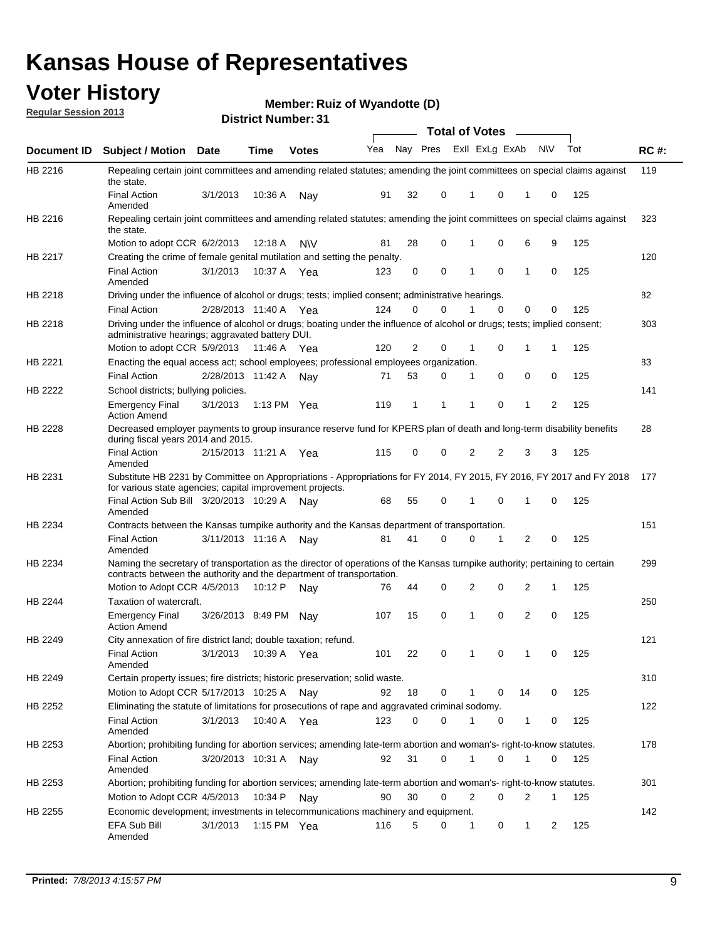### **Voter History**

**Member: Ruiz of Wyandotte (D)** 

**Regular Session 2013**

|                |                                                                                                                                                                                                               |                       |               |              |     |          |          | <b>Total of Votes</b> |          | $\overline{\phantom{a}}$ |           |     |             |
|----------------|---------------------------------------------------------------------------------------------------------------------------------------------------------------------------------------------------------------|-----------------------|---------------|--------------|-----|----------|----------|-----------------------|----------|--------------------------|-----------|-----|-------------|
| Document ID    | Subject / Motion Date                                                                                                                                                                                         |                       | <b>Time</b>   | <b>Votes</b> | Yea | Nay Pres |          | Exll ExLg ExAb        |          |                          | <b>NV</b> | Tot | <b>RC#:</b> |
| HB 2216        | Repealing certain joint committees and amending related statutes; amending the joint committees on special claims against<br>the state.                                                                       |                       |               |              |     |          |          |                       |          |                          |           |     | 119         |
|                | <b>Final Action</b><br>Amended                                                                                                                                                                                | 3/1/2013              | 10:36 A       | Nay          | 91  | 32       | 0        | 1                     | 0        | 1                        | 0         | 125 |             |
| HB 2216        | Repealing certain joint committees and amending related statutes; amending the joint committees on special claims against<br>the state.                                                                       |                       |               |              |     |          |          |                       |          |                          |           |     | 323         |
|                | Motion to adopt CCR 6/2/2013                                                                                                                                                                                  |                       | 12:18 A       | <b>NV</b>    | 81  | 28       | 0        | 1                     | 0        | 6                        | 9         | 125 |             |
| HB 2217        | Creating the crime of female genital mutilation and setting the penalty.                                                                                                                                      |                       |               |              |     |          |          |                       |          |                          |           |     | 120         |
|                | <b>Final Action</b><br>Amended                                                                                                                                                                                | 3/1/2013              | 10:37 A Yea   |              | 123 | 0        | 0        | 1                     | 0        | 1                        | 0         | 125 |             |
| HB 2218        | Driving under the influence of alcohol or drugs; tests; implied consent; administrative hearings.                                                                                                             |                       |               |              |     |          |          |                       |          |                          |           |     | 82          |
|                | <b>Final Action</b>                                                                                                                                                                                           | 2/28/2013 11:40 A Yea |               |              | 124 | 0        | $\Omega$ |                       | $\Omega$ | 0                        | 0         | 125 |             |
| HB 2218        | Driving under the influence of alcohol or drugs; boating under the influence of alcohol or drugs; tests; implied consent;<br>administrative hearings; aggravated battery DUI.<br>Motion to adopt CCR 5/9/2013 |                       | 11:46 A Yea   |              | 120 | 2        | 0        | 1                     | 0        | 1                        | 1         | 125 | 303         |
| HB 2221        |                                                                                                                                                                                                               |                       |               |              |     |          |          |                       |          |                          |           |     | 83          |
|                | Enacting the equal access act; school employees; professional employees organization.<br><b>Final Action</b>                                                                                                  | 2/28/2013 11:42 A     |               |              | 71  | 53       | 0        |                       | 0        |                          |           |     |             |
|                |                                                                                                                                                                                                               |                       |               | Nav          |     |          |          | 1                     |          | 0                        | 0         | 125 |             |
| HB 2222        | School districts; bullying policies.<br>Emergency Final<br><b>Action Amend</b>                                                                                                                                | 3/1/2013              | 1:13 PM $Yea$ |              | 119 | 1        | 1        | 1                     | 0        | 1                        | 2         | 125 | 141         |
| HB 2228        | Decreased employer payments to group insurance reserve fund for KPERS plan of death and long-term disability benefits<br>during fiscal years 2014 and 2015.                                                   |                       |               |              |     |          |          |                       |          |                          |           |     | 28          |
|                | <b>Final Action</b><br>Amended                                                                                                                                                                                | 2/15/2013 11:21 A Yea |               |              | 115 | 0        | 0        | 2                     | 2        | 3                        | 3         | 125 |             |
| HB 2231        | Substitute HB 2231 by Committee on Appropriations - Appropriations for FY 2014, FY 2015, FY 2016, FY 2017 and FY 2018 177<br>for various state agencies; capital improvement projects.                        |                       |               |              |     |          |          |                       |          |                          |           |     |             |
|                | Final Action Sub Bill 3/20/2013 10:29 A<br>Amended                                                                                                                                                            |                       |               | Nav          | 68  | 55       | 0        | 1                     | 0        | 1                        | 0         | 125 |             |
| HB 2234        | Contracts between the Kansas turnpike authority and the Kansas department of transportation.                                                                                                                  |                       |               |              |     |          |          |                       |          |                          |           |     | 151         |
|                | <b>Final Action</b><br>Amended                                                                                                                                                                                | 3/11/2013 11:16 A     |               | Nay          | 81  | 41       | 0        | 0                     | 1        | 2                        | 0         | 125 |             |
| HB 2234        | Naming the secretary of transportation as the director of operations of the Kansas turnpike authority; pertaining to certain<br>contracts between the authority and the department of transportation.         |                       |               |              |     |          |          |                       |          |                          |           |     | 299         |
|                | Motion to Adopt CCR 4/5/2013                                                                                                                                                                                  |                       | 10:12 P       | Nav          | 76  | 44       | 0        | 2                     | 0        | 2                        | 1         | 125 |             |
| <b>HB 2244</b> | Taxation of watercraft.<br><b>Emergency Final</b>                                                                                                                                                             | 3/26/2013 8:49 PM     |               | Nav          | 107 | 15       | 0        | 1                     | 0        | 2                        | 0         | 125 | 250         |
|                | <b>Action Amend</b>                                                                                                                                                                                           |                       |               |              |     |          |          |                       |          |                          |           |     |             |
| HB 2249        | City annexation of fire district land; double taxation; refund.<br>Final Action<br>Amended                                                                                                                    | 3/1/2013 10:39 A Yea  |               |              | 101 | 22       | 0        | $\mathbf{1}$          | $\cap$   | 1                        | $\Omega$  | 125 | 121         |
| HB 2249        | Certain property issues; fire districts; historic preservation; solid waste.                                                                                                                                  |                       |               |              |     |          |          |                       |          |                          |           |     | 310         |
|                | Motion to Adopt CCR 5/17/2013 10:25 A Nay                                                                                                                                                                     |                       |               |              | 92  | 18       | 0        |                       | 0        | 14                       | 0         | 125 |             |
|                | Eliminating the statute of limitations for prosecutions of rape and aggravated criminal sodomy.                                                                                                               |                       |               |              |     |          |          |                       |          |                          |           |     | 122         |
| HB 2252        |                                                                                                                                                                                                               |                       |               |              |     | $\Omega$ | 0        |                       |          |                          |           |     |             |
|                | <b>Final Action</b><br>Amended                                                                                                                                                                                | 3/1/2013              | 10:40 A Yea   |              | 123 |          |          |                       | 0        | 1                        | 0         | 125 |             |
| HB 2253        | Abortion; prohibiting funding for abortion services; amending late-term abortion and woman's- right-to-know statutes.                                                                                         |                       |               |              |     |          |          |                       |          |                          |           |     | 178         |
|                | <b>Final Action</b><br>Amended                                                                                                                                                                                | 3/20/2013 10:31 A     |               | Nav          | 92  | 31       | 0        | 1                     | 0        | 1                        | 0         | 125 |             |
| HB 2253        | Abortion; prohibiting funding for abortion services; amending late-term abortion and woman's- right-to-know statutes.                                                                                         |                       |               |              |     |          |          |                       |          |                          |           |     | 301         |
|                | Motion to Adopt CCR 4/5/2013                                                                                                                                                                                  |                       | 10:34 P Nay   |              | 90  | 30       | 0        | 2                     | 0        | 2                        | 1         | 125 |             |
| HB 2255        | Economic development; investments in telecommunications machinery and equipment.                                                                                                                              |                       |               |              |     |          |          |                       |          |                          |           |     | 142         |
|                | EFA Sub Bill<br>Amended                                                                                                                                                                                       | 3/1/2013              | 1:15 PM Yea   |              | 116 | 5        | 0        | -1                    | 0        | 1                        | 2         | 125 |             |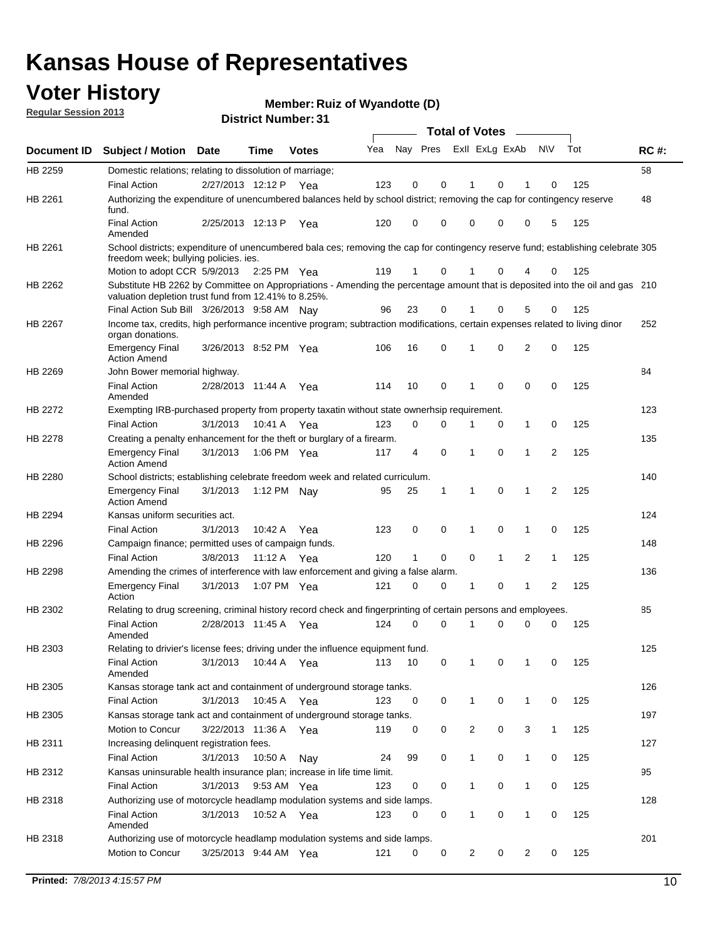### **Voter History**

**Member: Ruiz of Wyandotte (D)** 

**Regular Session 2013**

|                    |                                                                                                                                                                                       |                       |             |              |     |                         |          | <b>Total of Votes</b> |   | $\overline{\phantom{a}}$ |                |     |             |
|--------------------|---------------------------------------------------------------------------------------------------------------------------------------------------------------------------------------|-----------------------|-------------|--------------|-----|-------------------------|----------|-----------------------|---|--------------------------|----------------|-----|-------------|
| <b>Document ID</b> | <b>Subject / Motion Date</b>                                                                                                                                                          |                       | <b>Time</b> | <b>Votes</b> | Yea | Nay Pres Exll ExLg ExAb |          |                       |   |                          | <b>NV</b>      | Tot | <b>RC#:</b> |
| HB 2259            | Domestic relations; relating to dissolution of marriage;                                                                                                                              |                       |             |              |     |                         |          |                       |   |                          |                |     | 58          |
|                    | <b>Final Action</b>                                                                                                                                                                   | 2/27/2013 12:12 P     |             | Yea          | 123 | 0                       | 0        | 1                     | 0 | 1                        | 0              | 125 |             |
| HB 2261            | Authorizing the expenditure of unencumbered balances held by school district; removing the cap for contingency reserve<br>fund.                                                       |                       |             |              |     |                         |          |                       |   |                          |                |     | 48          |
|                    | <b>Final Action</b><br>Amended                                                                                                                                                        | 2/25/2013 12:13 P     |             | Yea          | 120 | 0                       | 0        | 0                     | 0 | 0                        | 5              | 125 |             |
| HB 2261            | School districts; expenditure of unencumbered bala ces; removing the cap for contingency reserve fund; establishing celebrate 305<br>freedom week; bullying policies. ies.            |                       |             |              |     |                         |          |                       |   |                          |                |     |             |
|                    | Motion to adopt CCR 5/9/2013                                                                                                                                                          |                       | 2:25 PM Yea |              | 119 | 1                       | 0        | 1                     | 0 | 4                        | 0              | 125 |             |
| HB 2262            | Substitute HB 2262 by Committee on Appropriations - Amending the percentage amount that is deposited into the oil and gas 210<br>valuation depletion trust fund from 12.41% to 8.25%. |                       |             |              |     |                         |          |                       |   |                          |                |     |             |
|                    | Final Action Sub Bill 3/26/2013 9:58 AM Nay                                                                                                                                           |                       |             |              | 96  | 23                      | 0        |                       | 0 | 5                        | 0              | 125 |             |
| HB 2267            | Income tax, credits, high performance incentive program; subtraction modifications, certain expenses related to living dinor<br>organ donations.                                      |                       |             |              |     |                         |          |                       |   |                          |                |     | 252         |
|                    | <b>Emergency Final</b><br><b>Action Amend</b>                                                                                                                                         | 3/26/2013 8:52 PM Yea |             |              | 106 | 16                      | 0        | 1                     | 0 | 2                        | 0              | 125 |             |
| HB 2269            | John Bower memorial highway.                                                                                                                                                          |                       |             |              |     |                         |          |                       |   |                          |                |     | 84          |
|                    | <b>Final Action</b><br>Amended                                                                                                                                                        | 2/28/2013 11:44 A     |             | Yea          | 114 | 10                      | 0        | $\mathbf 1$           | 0 | 0                        | 0              | 125 |             |
| HB 2272            | Exempting IRB-purchased property from property taxatin without state ownerhsip requirement.                                                                                           |                       |             |              |     |                         |          |                       |   |                          |                |     | 123         |
|                    | <b>Final Action</b>                                                                                                                                                                   | 3/1/2013              | 10:41 A     | Yea          | 123 | 0                       | 0        | 1                     | 0 | $\mathbf{1}$             | 0              | 125 |             |
| HB 2278            | Creating a penalty enhancement for the theft or burglary of a firearm.                                                                                                                |                       |             |              |     |                         |          |                       |   |                          |                |     | 135         |
|                    | <b>Emergency Final</b><br><b>Action Amend</b>                                                                                                                                         | 3/1/2013              | 1:06 PM Yea |              | 117 | 4                       | 0        | 1                     | 0 | 1                        | $\overline{2}$ | 125 |             |
| HB 2280            | School districts; establishing celebrate freedom week and related curriculum.                                                                                                         |                       |             |              |     |                         |          |                       |   |                          |                |     | 140         |
|                    | <b>Emergency Final</b><br><b>Action Amend</b>                                                                                                                                         | 3/1/2013              | 1:12 PM Nay |              | 95  | 25                      | 1        | 1                     | 0 | 1                        | 2              | 125 |             |
| HB 2294            | Kansas uniform securities act.                                                                                                                                                        |                       |             |              |     |                         |          |                       |   |                          |                |     | 124         |
|                    | <b>Final Action</b>                                                                                                                                                                   | 3/1/2013              | 10:42 A     | Yea          | 123 | 0                       | 0        | 1                     | 0 | 1                        | 0              | 125 |             |
| HB 2296            | Campaign finance; permitted uses of campaign funds.                                                                                                                                   |                       |             |              |     |                         |          |                       |   |                          |                |     | 148         |
|                    | <b>Final Action</b>                                                                                                                                                                   | 3/8/2013              | 11:12 A Yea |              | 120 | 1                       | 0        | 0                     | 1 | 2                        | 1              | 125 |             |
| HB 2298            | Amending the crimes of interference with law enforcement and giving a false alarm.                                                                                                    |                       |             |              |     |                         |          |                       |   |                          |                |     | 136         |
|                    | <b>Emergency Final</b><br>Action                                                                                                                                                      | 3/1/2013              | 1:07 PM Yea |              | 121 | 0                       | 0        | 1                     | 0 | 1                        | 2              | 125 |             |
| HB 2302            | Relating to drug screening, criminal history record check and fingerprinting of certain persons and employees.                                                                        |                       |             |              |     |                         |          |                       |   |                          |                |     | 85          |
|                    | <b>Final Action</b><br>Amended                                                                                                                                                        | 2/28/2013 11:45 A     |             | Yea          | 124 | 0                       | $\Omega$ | 1                     | 0 | 0                        | 0              | 125 |             |
| HB 2303            | Relating to drivier's license fees; driving under the influence equipment fund.                                                                                                       |                       |             |              |     |                         |          |                       |   |                          |                |     | 125         |
|                    | <b>Final Action</b><br>Amended                                                                                                                                                        | 3/1/2013              | 10:44 A     | Yea          | 113 | 10                      | 0        | 1                     | 0 |                          | 0              | 125 |             |
| HB 2305            | Kansas storage tank act and containment of underground storage tanks.                                                                                                                 |                       |             |              |     |                         |          |                       |   |                          |                |     | 126         |
|                    | <b>Final Action</b>                                                                                                                                                                   | 3/1/2013              | 10:45 A     | Yea          | 123 | 0                       | 0        | 1                     | 0 | 1                        | 0              | 125 |             |
| HB 2305            | Kansas storage tank act and containment of underground storage tanks.                                                                                                                 |                       |             |              |     |                         |          |                       |   |                          |                |     | 197         |
|                    | Motion to Concur                                                                                                                                                                      | 3/22/2013 11:36 A     |             | Yea          | 119 | 0                       | 0        | 2                     | 0 | 3                        | $\mathbf{1}$   | 125 |             |
| HB 2311            | Increasing delinquent registration fees.                                                                                                                                              |                       |             |              |     |                         |          |                       |   |                          |                |     | 127         |
|                    | <b>Final Action</b>                                                                                                                                                                   | 3/1/2013              | 10:50 A     | Nay          | 24  | 99                      | 0        | 1                     | 0 | $\mathbf{1}$             | 0              | 125 |             |
| HB 2312            | Kansas uninsurable health insurance plan; increase in life time limit.                                                                                                                |                       |             |              |     |                         |          |                       |   |                          |                |     | 95          |
|                    | <b>Final Action</b>                                                                                                                                                                   | 3/1/2013              | 9:53 AM Yea |              | 123 | 0                       | 0        | 1                     | 0 | $\mathbf{1}$             | 0              | 125 |             |
| HB 2318            | Authorizing use of motorcycle headlamp modulation systems and side lamps.                                                                                                             |                       |             |              |     |                         |          |                       |   |                          |                |     | 128         |
|                    | <b>Final Action</b><br>Amended                                                                                                                                                        | 3/1/2013              | 10:52 A     | Yea          | 123 | 0                       | 0        | 1                     | 0 | 1                        | 0              | 125 |             |
| HB 2318            | Authorizing use of motorcycle headlamp modulation systems and side lamps.                                                                                                             |                       |             |              |     |                         |          |                       |   |                          |                |     | 201         |
|                    | Motion to Concur                                                                                                                                                                      | 3/25/2013 9:44 AM Yea |             |              | 121 | 0                       | 0        | 2                     | 0 | 2                        | 0              | 125 |             |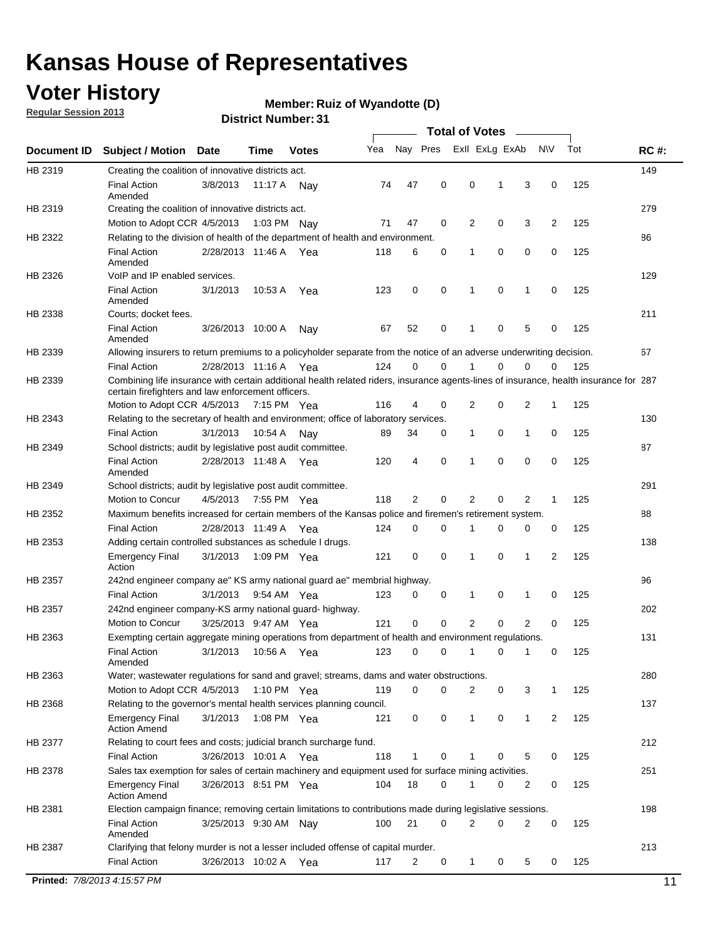### **Voter History**

**Member: Ruiz of Wyandotte (D)** 

**Regular Session 2013**

**District Number: 31**

|             |                                                                     |                       |         |              |                                                                                                                                       |                     | <b>Total of Votes</b> |             |                |              |     |             |
|-------------|---------------------------------------------------------------------|-----------------------|---------|--------------|---------------------------------------------------------------------------------------------------------------------------------------|---------------------|-----------------------|-------------|----------------|--------------|-----|-------------|
| Document ID | <b>Subject / Motion</b>                                             | <b>Date</b>           | Time    | <b>Votes</b> | Yea                                                                                                                                   | Nay Pres            | Exll ExLg ExAb        |             |                | <b>NV</b>    | Tot | <b>RC#:</b> |
| HB 2319     | Creating the coalition of innovative districts act.                 |                       |         |              |                                                                                                                                       |                     |                       |             |                |              |     | 149         |
|             | <b>Final Action</b><br>Amended                                      | 3/8/2013              | 11:17 A | Nav          | 47<br>74                                                                                                                              | 0                   | 0                     | 1           | 3              | 0            | 125 |             |
| HB 2319     | Creating the coalition of innovative districts act.                 |                       |         |              |                                                                                                                                       |                     |                       |             |                |              |     | 279         |
|             | Motion to Adopt CCR 4/5/2013                                        |                       |         | 1:03 PM Nav  | 47<br>71                                                                                                                              | 0                   | 2                     | 0           | 3              | 2            | 125 |             |
| HB 2322     |                                                                     |                       |         |              | Relating to the division of health of the department of health and environment.                                                       |                     |                       |             |                |              |     | 86          |
|             | <b>Final Action</b><br>Amended                                      | 2/28/2013 11:46 A Yea |         |              | 118                                                                                                                                   | 0<br>6              | 1                     | 0           | 0              | 0            | 125 |             |
| HB 2326     | VoIP and IP enabled services.                                       |                       |         |              |                                                                                                                                       |                     |                       |             |                |              |     | 129         |
|             | <b>Final Action</b><br>Amended                                      | 3/1/2013              | 10:53 A | Yea          | 123                                                                                                                                   | 0<br>0              | 1                     | $\mathbf 0$ | 1              | 0            | 125 |             |
| HB 2338     | Courts; docket fees.                                                |                       |         |              |                                                                                                                                       |                     |                       |             |                |              |     | 211         |
|             | <b>Final Action</b><br>Amended                                      | 3/26/2013 10:00 A     |         | Nav          | 67<br>52                                                                                                                              | 0                   | 1                     | 0           | 5              | 0            | 125 |             |
| HB 2339     |                                                                     |                       |         |              | Allowing insurers to return premiums to a policyholder separate from the notice of an adverse underwriting decision.                  |                     |                       |             |                |              |     | 67          |
|             | <b>Final Action</b>                                                 | 2/28/2013 11:16 A Yea |         |              | 124                                                                                                                                   | 0<br>0              | 1                     | 0           | 0              | 0            | 125 |             |
| HB 2339     | certain firefighters and law enforcement officers.                  |                       |         |              | Combining life insurance with certain additional health related riders, insurance agents-lines of insurance, health insurance for 287 |                     |                       |             |                |              |     |             |
|             | Motion to Adopt CCR 4/5/2013 7:15 PM Yea                            |                       |         |              | 116                                                                                                                                   | 4<br>0              | 2                     | 0           | 2              | 1            | 125 |             |
| HB 2343     |                                                                     |                       |         |              | Relating to the secretary of health and environment; office of laboratory services.                                                   |                     |                       |             |                |              |     | 130         |
|             | <b>Final Action</b>                                                 | 3/1/2013              | 10:54 A | Nav          | 34<br>89                                                                                                                              | 0                   | 1                     | 0           | 1              | 0            | 125 |             |
| HB 2349     | School districts; audit by legislative post audit committee.        |                       |         |              |                                                                                                                                       |                     |                       |             |                |              |     | 87          |
|             | <b>Final Action</b><br>Amended                                      | 2/28/2013 11:48 A Yea |         |              | 120                                                                                                                                   | $\overline{4}$<br>0 | 1                     | 0           | 0              | $\mathbf 0$  | 125 |             |
| HB 2349     | School districts; audit by legislative post audit committee.        |                       |         |              |                                                                                                                                       |                     |                       |             |                |              |     | 291         |
|             | Motion to Concur                                                    | 4/5/2013              |         | 7:55 PM Yea  | 118                                                                                                                                   | 2<br>0              | 2                     | 0           | 2              | $\mathbf{1}$ | 125 |             |
| HB 2352     |                                                                     |                       |         |              | Maximum benefits increased for certain members of the Kansas police and firemen's retirement system.                                  |                     |                       |             |                |              |     | 88          |
|             | <b>Final Action</b>                                                 | 2/28/2013 11:49 A     |         | Yea          | 124                                                                                                                                   | 0<br>0              | 1                     | 0           | 0              | 0            | 125 |             |
| HB 2353     | Adding certain controlled substances as schedule I drugs.           |                       |         |              |                                                                                                                                       |                     |                       |             |                |              |     | 138         |
|             | <b>Emergency Final</b><br>Action                                    | 3/1/2013              |         | 1:09 PM Yea  | 121                                                                                                                                   | 0<br>0              | $\mathbf 1$           | 0           | 1              | 2            | 125 |             |
| HB 2357     |                                                                     |                       |         |              | 242nd engineer company ae" KS army national guard ae" membrial highway.                                                               |                     |                       |             |                |              |     | 96          |
|             | <b>Final Action</b>                                                 | 3/1/2013              |         | 9:54 AM Yea  | 123                                                                                                                                   | 0<br>0              | 1                     | 0           | 1              | 0            | 125 |             |
| HB 2357     | 242nd engineer company-KS army national guard- highway.             |                       |         |              |                                                                                                                                       |                     |                       |             |                |              |     | 202         |
|             | Motion to Concur                                                    | 3/25/2013 9:47 AM Yea |         |              | 121                                                                                                                                   | $\mathbf 0$<br>0    | 2                     | 0           | $\overline{2}$ | 0            | 125 |             |
| HB 2363     |                                                                     |                       |         |              | Exempting certain aggregate mining operations from department of health and environment regulations.                                  |                     |                       |             |                |              |     | 131         |
|             | <b>Final Action</b><br>Amended                                      | 3/1/2013              |         | 10:56 A Yea  | 123                                                                                                                                   | 0<br>0              | $\mathbf{1}$          | 0           | 1              | 0            | 125 |             |
| HB 2363     |                                                                     |                       |         |              | Water; wastewater regulations for sand and gravel; streams, dams and water obstructions.                                              |                     |                       |             |                |              |     | 280         |
|             | Motion to Adopt CCR 4/5/2013                                        |                       |         | 1:10 PM Yea  | 119                                                                                                                                   | 0<br>0              | 2                     | 0           | 3              | 1            | 125 |             |
| HB 2368     | Relating to the governor's mental health services planning council. |                       |         |              |                                                                                                                                       |                     |                       |             |                |              |     | 137         |
|             | <b>Emergency Final</b><br><b>Action Amend</b>                       | 3/1/2013              |         | 1:08 PM Yea  | 121                                                                                                                                   | 0<br>0              | 1                     | 0           | 1              | 2            | 125 |             |
| HB 2377     | Relating to court fees and costs; judicial branch surcharge fund.   |                       |         |              |                                                                                                                                       |                     |                       |             |                |              |     | 212         |
|             | <b>Final Action</b>                                                 | 3/26/2013 10:01 A Yea |         |              | 118                                                                                                                                   | 1<br>0              | 1                     | 0           | 5              | 0            | 125 |             |
| HB 2378     |                                                                     |                       |         |              | Sales tax exemption for sales of certain machinery and equipment used for surface mining activities.                                  |                     |                       |             |                |              |     | 251         |
|             | <b>Emergency Final</b><br><b>Action Amend</b>                       | 3/26/2013 8:51 PM Yea |         |              | 104<br>18                                                                                                                             | 0                   | 1                     | 0           | 2              | 0            | 125 |             |
| HB 2381     |                                                                     |                       |         |              | Election campaign finance; removing certain limitations to contributions made during legislative sessions.                            |                     |                       |             |                |              |     | 198         |
|             | <b>Final Action</b><br>Amended                                      | 3/25/2013 9:30 AM Nay |         |              | 21<br>100                                                                                                                             | 0                   | 2                     | 0           | $\overline{2}$ | 0            | 125 |             |
| HB 2387     |                                                                     |                       |         |              | Clarifying that felony murder is not a lesser included offense of capital murder.                                                     |                     |                       |             |                |              |     | 213         |
|             | <b>Final Action</b>                                                 | 3/26/2013 10:02 A Yea |         |              | 117                                                                                                                                   | 2<br>0              | $\mathbf 1$           | 0           | 5              | 0            | 125 |             |

**Printed:** *7/8/2013 4:15:57 PM* 11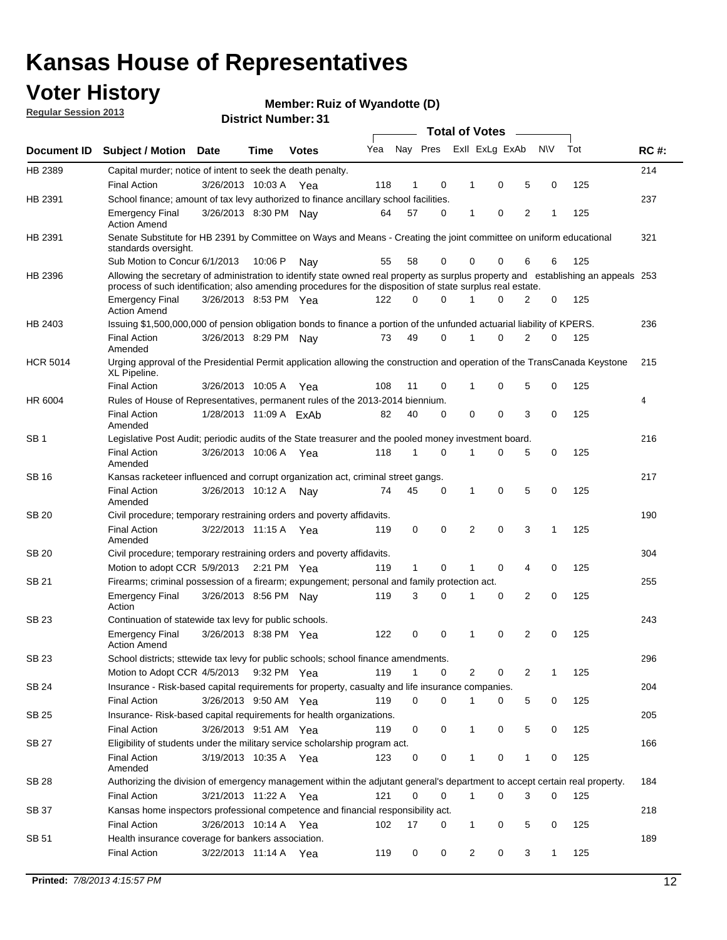### **Voter History**

**Member: Ruiz of Wyandotte (D)** 

**Regular Session 2013**

|                 |                                                                                                                                                                                                                                                  |                        |         | ו ט . וסעווווטדו וטוע |     |              |             |   | <b>Total of Votes</b> | $\overline{\phantom{a}}$ |           |     |             |
|-----------------|--------------------------------------------------------------------------------------------------------------------------------------------------------------------------------------------------------------------------------------------------|------------------------|---------|-----------------------|-----|--------------|-------------|---|-----------------------|--------------------------|-----------|-----|-------------|
| Document ID     | <b>Subject / Motion Date</b>                                                                                                                                                                                                                     |                        | Time    | <b>Votes</b>          | Yea | Nay Pres     |             |   | Exll ExLg ExAb        |                          | <b>NV</b> | Tot | <b>RC#:</b> |
| HB 2389         | Capital murder; notice of intent to seek the death penalty.                                                                                                                                                                                      |                        |         |                       |     |              |             |   |                       |                          |           |     | 214         |
|                 | <b>Final Action</b>                                                                                                                                                                                                                              | 3/26/2013 10:03 A      |         | Yea                   | 118 | 1            | 0           |   | 0<br>1                | 5                        | 0         | 125 |             |
| HB 2391         | School finance; amount of tax levy authorized to finance ancillary school facilities.                                                                                                                                                            |                        |         |                       |     |              |             |   |                       |                          |           |     | 237         |
|                 | <b>Emergency Final</b><br><b>Action Amend</b>                                                                                                                                                                                                    | 3/26/2013 8:30 PM Nay  |         |                       | 64  | 57           | $\Omega$    |   | 0<br>1                | $\overline{2}$           | 1         | 125 |             |
| HB 2391         | Senate Substitute for HB 2391 by Committee on Ways and Means - Creating the joint committee on uniform educational<br>standards oversight.                                                                                                       |                        |         |                       |     |              |             |   |                       |                          |           |     | 321         |
|                 | Sub Motion to Concur 6/1/2013                                                                                                                                                                                                                    |                        | 10:06 P | Nav                   | 55  | 58           | 0           |   | 0<br>0                | 6                        | 6         | 125 |             |
| HB 2396         | Allowing the secretary of administration to identify state owned real property as surplus property and establishing an appeals 253<br>process of such identification; also amending procedures for the disposition of state surplus real estate. |                        |         |                       |     |              |             |   |                       |                          |           |     |             |
|                 | <b>Emergency Final</b><br><b>Action Amend</b>                                                                                                                                                                                                    | 3/26/2013 8:53 PM Yea  |         |                       | 122 | 0            | $\Omega$    |   | $\Omega$              | 2                        | 0         | 125 |             |
| HB 2403         | Issuing \$1,500,000,000 of pension obligation bonds to finance a portion of the unfunded actuarial liability of KPERS.                                                                                                                           |                        |         |                       |     |              |             |   |                       |                          |           |     | 236         |
|                 | <b>Final Action</b><br>Amended                                                                                                                                                                                                                   | 3/26/2013 8:29 PM      |         | Nay                   | 73  | 49           | 0           | 1 | 0                     | $\overline{2}$           | 0         | 125 |             |
| <b>HCR 5014</b> | Urging approval of the Presidential Permit application allowing the construction and operation of the TransCanada Keystone<br>XL Pipeline.                                                                                                       |                        |         |                       |     |              |             |   |                       |                          |           |     | 215         |
|                 | <b>Final Action</b>                                                                                                                                                                                                                              | 3/26/2013 10:05 A      |         | Yea                   | 108 | 11           | 0           |   | 0<br>1                | 5                        | 0         | 125 |             |
| HR 6004         | Rules of House of Representatives, permanent rules of the 2013-2014 biennium.                                                                                                                                                                    |                        |         |                       |     |              |             |   |                       |                          |           |     | 4           |
|                 | <b>Final Action</b><br>Amended                                                                                                                                                                                                                   | 1/28/2013 11:09 A ExAb |         |                       | 82  | 40           | $\Omega$    |   | 0<br>0                | 3                        | 0         | 125 |             |
| SB <sub>1</sub> | Legislative Post Audit; periodic audits of the State treasurer and the pooled money investment board.                                                                                                                                            |                        |         |                       |     |              |             |   |                       |                          |           |     | 216         |
|                 | <b>Final Action</b><br>Amended                                                                                                                                                                                                                   | 3/26/2013 10:06 A      |         | Yea                   | 118 | 1            | $\Omega$    | 1 | 0                     | 5                        | 0         | 125 |             |
| SB 16           | Kansas racketeer influenced and corrupt organization act, criminal street gangs.                                                                                                                                                                 |                        |         |                       |     |              |             |   |                       |                          |           |     | 217         |
|                 | <b>Final Action</b><br>Amended                                                                                                                                                                                                                   | 3/26/2013 10:12 A      |         | Nav                   | 74  | 45           | 0           |   | 0<br>1                | 5                        | 0         | 125 |             |
| <b>SB 20</b>    | Civil procedure; temporary restraining orders and poverty affidavits.                                                                                                                                                                            |                        |         |                       |     |              |             |   |                       |                          |           |     | 190         |
|                 | <b>Final Action</b><br>Amended                                                                                                                                                                                                                   | 3/22/2013 11:15 A      |         | Yea                   | 119 | 0            | 0           |   | $\Omega$<br>2         | 3                        | 1         | 125 |             |
| SB 20           | Civil procedure; temporary restraining orders and poverty affidavits.                                                                                                                                                                            |                        |         |                       |     |              |             |   |                       |                          |           |     | 304         |
|                 | Motion to adopt CCR 5/9/2013                                                                                                                                                                                                                     |                        |         | 2:21 PM Yea           | 119 | $\mathbf{1}$ | 0           |   | 0<br>1                | 4                        | 0         | 125 |             |
| SB 21           | Firearms; criminal possession of a firearm; expungement; personal and family protection act.                                                                                                                                                     |                        |         |                       |     |              |             |   |                       |                          |           |     | 255         |
|                 | <b>Emergency Final</b><br>Action                                                                                                                                                                                                                 | 3/26/2013 8:56 PM Nav  |         |                       | 119 | 3            | $\Omega$    | 1 | 0                     | 2                        | 0         | 125 |             |
| <b>SB 23</b>    | Continuation of statewide tax levy for public schools.                                                                                                                                                                                           |                        |         |                       |     |              |             |   |                       |                          |           |     | 243         |
|                 | <b>Emergency Final</b><br><b>Action Amend</b>                                                                                                                                                                                                    | 3/26/2013 8:38 PM Yea  |         |                       | 122 | 0            | 0           | 1 | 0                     | 2                        | 0         | 125 |             |
| SB 23           | School districts; sttewide tax levy for public schools; school finance amendments.                                                                                                                                                               |                        |         |                       |     |              |             |   |                       |                          |           |     | 296         |
|                 | Motion to Adopt CCR 4/5/2013                                                                                                                                                                                                                     |                        |         | 9:32 PM Yea           | 119 | 1            | 0           |   | 2<br>0                | 2                        | 1         | 125 |             |
| <b>SB 24</b>    | Insurance - Risk-based capital requirements for property, casualty and life insurance companies.                                                                                                                                                 |                        |         |                       |     |              |             |   |                       |                          |           |     | 204         |
|                 | Final Action                                                                                                                                                                                                                                     | 3/26/2013 9:50 AM Yea  |         |                       | 119 | 0            | 0           |   | 0<br>1                | 5                        | 0         | 125 |             |
| <b>SB 25</b>    | Insurance-Risk-based capital requirements for health organizations.                                                                                                                                                                              |                        |         |                       |     |              |             |   |                       |                          |           |     | 205         |
|                 | Final Action                                                                                                                                                                                                                                     | 3/26/2013 9:51 AM Yea  |         |                       | 119 | 0            | 0           |   | 0<br>1                | 5                        | 0         | 125 |             |
| <b>SB 27</b>    | Eligibility of students under the military service scholarship program act.                                                                                                                                                                      |                        |         |                       |     |              |             |   |                       |                          |           |     | 166         |
|                 | <b>Final Action</b><br>Amended                                                                                                                                                                                                                   | 3/19/2013 10:35 A Yea  |         |                       | 123 | 0            | 0           |   | 0                     | 1                        | 0         | 125 |             |
| SB 28           | Authorizing the division of emergency management within the adjutant general's department to accept certain real property.                                                                                                                       |                        |         |                       |     |              |             |   |                       |                          |           |     | 184         |
|                 | <b>Final Action</b>                                                                                                                                                                                                                              | 3/21/2013 11:22 A Yea  |         |                       | 121 | 0            | $\mathbf 0$ |   | $\mathbf{1}$<br>0     | 3                        | 0         | 125 |             |
| SB 37           | Kansas home inspectors professional competence and financial responsibility act.                                                                                                                                                                 |                        |         |                       |     |              |             |   |                       |                          |           |     | 218         |
|                 | <b>Final Action</b>                                                                                                                                                                                                                              | 3/26/2013 10:14 A Yea  |         |                       | 102 | 17           | 0           |   | 1<br>0                | 5                        | 0         | 125 |             |
| SB 51           | Health insurance coverage for bankers association.                                                                                                                                                                                               |                        |         |                       |     |              |             |   |                       |                          |           |     | 189         |
|                 | Final Action                                                                                                                                                                                                                                     | 3/22/2013 11:14 A Yea  |         |                       | 119 | 0            | 0           |   | 2<br>0                | 3                        | 1         | 125 |             |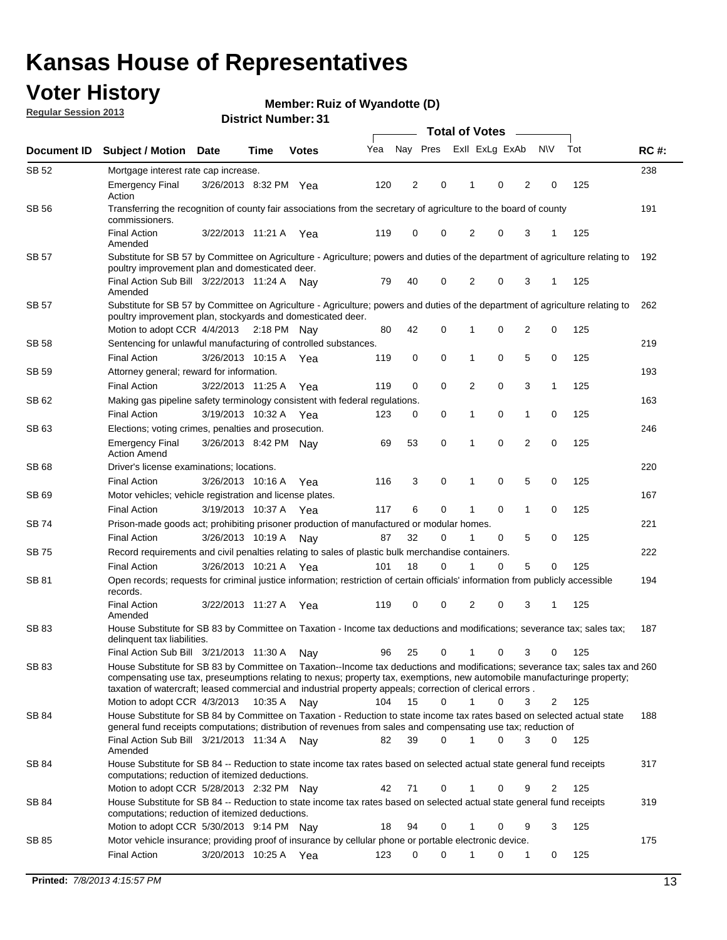### **Voter History**

**Member: Ruiz of Wyandotte (D)** 

**Regular Session 2013**

|              |                                                                                                                                                                                                                                            |                       |             |              |     | <b>Total of Votes</b> |             |                |   |                |             |     |             |  |
|--------------|--------------------------------------------------------------------------------------------------------------------------------------------------------------------------------------------------------------------------------------------|-----------------------|-------------|--------------|-----|-----------------------|-------------|----------------|---|----------------|-------------|-----|-------------|--|
| Document ID  | <b>Subject / Motion Date</b>                                                                                                                                                                                                               |                       | Time        | <b>Votes</b> | Yea | Nay Pres              |             | Exll ExLg ExAb |   |                | <b>NV</b>   | Tot | <b>RC#:</b> |  |
| SB 52        | Mortgage interest rate cap increase.                                                                                                                                                                                                       |                       |             |              |     |                       |             |                |   |                |             |     | 238         |  |
|              | <b>Emergency Final</b><br>Action                                                                                                                                                                                                           | 3/26/2013 8:32 PM Yea |             |              | 120 | 2                     | 0           |                | 0 | 2              | 0           | 125 |             |  |
| SB 56        | Transferring the recognition of county fair associations from the secretary of agriculture to the board of county<br>commissioners.                                                                                                        |                       |             |              |     |                       |             |                |   |                |             |     | 191         |  |
|              | <b>Final Action</b><br>Amended                                                                                                                                                                                                             | 3/22/2013 11:21 A     |             | Yea          | 119 | 0                     | 0           | 2              | 0 | 3              | 1           | 125 |             |  |
| SB 57        | Substitute for SB 57 by Committee on Agriculture - Agriculture; powers and duties of the department of agriculture relating to                                                                                                             |                       |             |              |     |                       |             |                |   |                |             |     | 192         |  |
|              | poultry improvement plan and domesticated deer.<br>Final Action Sub Bill 3/22/2013 11:24 A<br>Amended                                                                                                                                      |                       |             | Nav          | 79  | 40                    | 0           | 2              | 0 | 3              | 1           | 125 |             |  |
| SB 57        | Substitute for SB 57 by Committee on Agriculture - Agriculture; powers and duties of the department of agriculture relating to<br>poultry improvement plan, stockyards and domesticated deer.                                              |                       |             |              |     |                       |             |                |   |                |             |     | 262         |  |
|              | Motion to adopt CCR 4/4/2013 2:18 PM Nay                                                                                                                                                                                                   |                       |             |              | 80  | 42                    | 0           | 1              | 0 | 2              | 0           | 125 |             |  |
| SB 58        | Sentencing for unlawful manufacturing of controlled substances.                                                                                                                                                                            |                       |             |              |     |                       |             |                |   |                |             |     | 219         |  |
|              | <b>Final Action</b>                                                                                                                                                                                                                        | 3/26/2013 10:15 A     |             | Yea          | 119 | 0                     | 0           | 1              | 0 | 5              | 0           | 125 |             |  |
| <b>SB 59</b> | Attorney general; reward for information.                                                                                                                                                                                                  |                       |             |              |     |                       |             |                |   |                |             |     | 193         |  |
|              | <b>Final Action</b>                                                                                                                                                                                                                        | 3/22/2013 11:25 A     |             | Yea          | 119 | 0                     | 0           | 2              | 0 | 3              | 1           | 125 |             |  |
| SB 62        | Making gas pipeline safety terminology consistent with federal regulations.                                                                                                                                                                |                       |             |              |     |                       |             |                |   |                |             |     | 163         |  |
|              | <b>Final Action</b>                                                                                                                                                                                                                        | 3/19/2013 10:32 A     |             | Yea          | 123 | 0                     | 0           | 1              | 0 | 1              | 0           | 125 |             |  |
| SB 63        | Elections; voting crimes, penalties and prosecution.                                                                                                                                                                                       |                       |             |              |     |                       |             |                |   |                |             |     | 246         |  |
|              | <b>Emergency Final</b><br><b>Action Amend</b>                                                                                                                                                                                              | 3/26/2013 8:42 PM Nay |             |              | 69  | 53                    | $\mathbf 0$ | 1              | 0 | $\overline{2}$ | $\mathbf 0$ | 125 |             |  |
| SB 68        | Driver's license examinations; locations.                                                                                                                                                                                                  |                       |             |              |     |                       |             |                |   |                |             |     | 220         |  |
|              | <b>Final Action</b>                                                                                                                                                                                                                        | 3/26/2013 10:16 A     |             | Yea          | 116 | 3                     | 0           | 1              | 0 | 5              | 0           | 125 |             |  |
| SB 69        | Motor vehicles; vehicle registration and license plates.                                                                                                                                                                                   |                       |             |              |     |                       |             |                |   |                |             |     | 167         |  |
|              | <b>Final Action</b>                                                                                                                                                                                                                        | 3/19/2013 10:37 A     |             | Yea          | 117 | 6                     | 0           | 1              | 0 | $\mathbf{1}$   | 0           | 125 |             |  |
| SB 74        | Prison-made goods act; prohibiting prisoner production of manufactured or modular homes.                                                                                                                                                   |                       |             |              |     |                       |             |                |   |                |             |     | 221         |  |
|              | <b>Final Action</b>                                                                                                                                                                                                                        | 3/26/2013 10:19 A     |             | Nay          | 87  | 32                    | 0           | 1              | 0 | 5              | 0           | 125 |             |  |
| SB 75        | Record requirements and civil penalties relating to sales of plastic bulk merchandise containers.                                                                                                                                          |                       |             |              |     |                       |             |                |   |                |             |     | 222         |  |
|              | <b>Final Action</b>                                                                                                                                                                                                                        | 3/26/2013 10:21 A     |             | Yea          | 101 | 18                    | 0           | 1              | 0 | 5              | 0           | 125 |             |  |
| SB 81        | Open records; requests for criminal justice information; restriction of certain officials' information from publicly accessible<br>records.                                                                                                |                       |             |              |     |                       |             |                |   |                |             |     | 194         |  |
|              | <b>Final Action</b><br>Amended                                                                                                                                                                                                             | 3/22/2013 11:27 A     |             | Yea          | 119 | 0                     | 0           | 2              | 0 | 3              | 1           | 125 |             |  |
| <b>SB83</b>  | House Substitute for SB 83 by Committee on Taxation - Income tax deductions and modifications; severance tax; sales tax;<br>delinquent tax liabilities.<br>Final Action Sub Bill 3/21/2013 11:30 A                                         |                       |             |              | 96  | 25                    | 0           | 1              | 0 | 3              | 0           | 125 | 187         |  |
| SB 83        | House Substitute for SB 83 by Committee on Taxation--Income tax deductions and modifications; severance tax; sales tax and 260                                                                                                             |                       |             | Nav          |     |                       |             |                |   |                |             |     |             |  |
|              | compensating use tax, preseumptions relating to nexus; property tax, exemptions, new automobile manufacturinge property;<br>taxation of watercraft; leased commercial and industrial property appeals; correction of clerical errors.      |                       |             |              |     |                       |             |                |   |                |             |     |             |  |
|              | Motion to adopt CCR 4/3/2013                                                                                                                                                                                                               |                       | 10:35 A Nay |              | 104 | 15                    | 0           | $\mathbf{1}$   | 0 | 3              | 2           | 125 |             |  |
| SB 84        | House Substitute for SB 84 by Committee on Taxation - Reduction to state income tax rates based on selected actual state<br>general fund receipts computations; distribution of revenues from sales and compensating use tax; reduction of |                       |             |              |     |                       | $\Omega$    |                | 0 | 3              | $\Omega$    |     | 188         |  |
| SB 84        | Final Action Sub Bill 3/21/2013 11:34 A Nay<br>Amended<br>House Substitute for SB 84 -- Reduction to state income tax rates based on selected actual state general fund receipts                                                           |                       |             |              | 82  | 39                    |             |                |   |                |             | 125 | 317         |  |
|              | computations; reduction of itemized deductions.<br>Motion to adopt CCR 5/28/2013 2:32 PM Nav                                                                                                                                               |                       |             |              | 42  | 71                    | 0           |                | 0 | 9              | 2           | 125 |             |  |
| SB 84        | House Substitute for SB 84 -- Reduction to state income tax rates based on selected actual state general fund receipts                                                                                                                     |                       |             |              |     |                       |             |                |   |                |             |     | 319         |  |
|              | computations; reduction of itemized deductions.<br>Motion to adopt CCR 5/30/2013 9:14 PM Nay                                                                                                                                               |                       |             |              | 18  | 94                    | 0           |                | 0 | 9              | 3           | 125 |             |  |
| SB 85        | Motor vehicle insurance; providing proof of insurance by cellular phone or portable electronic device.                                                                                                                                     |                       |             |              |     |                       |             |                |   |                |             |     | 175         |  |
|              | <b>Final Action</b>                                                                                                                                                                                                                        | 3/20/2013 10:25 A Yea |             |              | 123 | 0                     | $\Omega$    |                | 0 | 1              | 0           | 125 |             |  |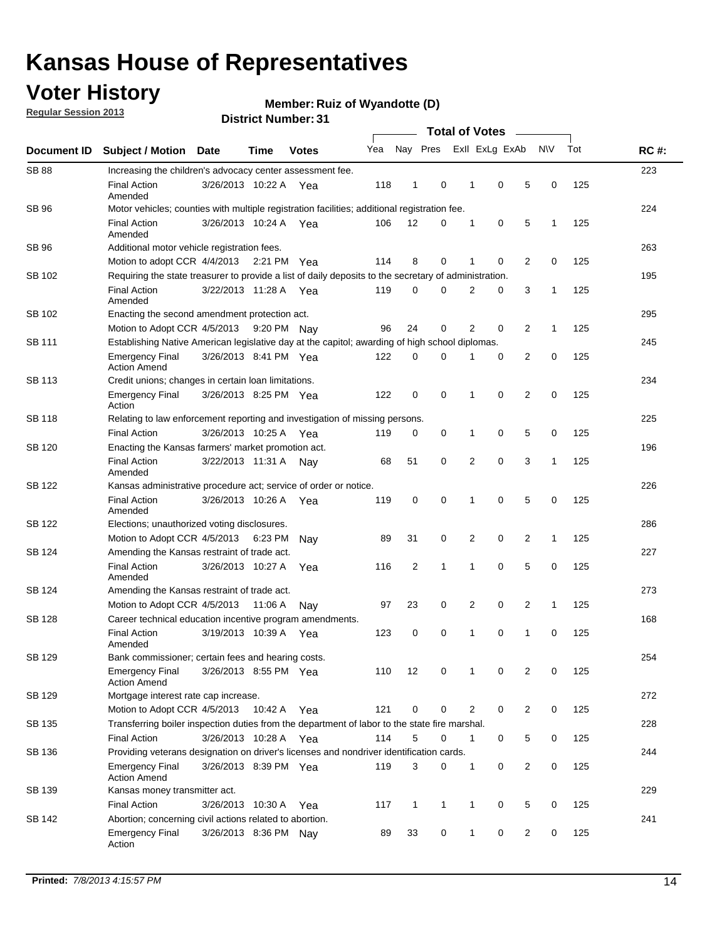### **Voter History**

**Member: Ruiz of Wyandotte (D)** 

**Regular Session 2013**

|                    |                                                                                                       | ו ט <sub>י</sub> וסטוווטנו ועוווטכו | <b>Total of Votes</b> |              |     |              |              |  |                |                |                |              |     |             |
|--------------------|-------------------------------------------------------------------------------------------------------|-------------------------------------|-----------------------|--------------|-----|--------------|--------------|--|----------------|----------------|----------------|--------------|-----|-------------|
| <b>Document ID</b> | <b>Subject / Motion</b>                                                                               | Date                                | Time                  | <b>Votes</b> | Yea |              | Nay Pres     |  |                | Exll ExLg ExAb |                | <b>NV</b>    | Tot | <b>RC#:</b> |
| <b>SB 88</b>       | Increasing the children's advocacy center assessment fee.                                             |                                     |                       |              |     |              |              |  |                |                |                |              |     | 223         |
|                    | <b>Final Action</b><br>Amended                                                                        | 3/26/2013 10:22 A Yea               |                       |              | 118 | 1            | 0            |  | 1              | 0              | 5              | 0            | 125 |             |
| SB 96              | Motor vehicles; counties with multiple registration facilities; additional registration fee.          |                                     |                       |              |     |              |              |  |                |                |                |              |     | 224         |
|                    | <b>Final Action</b><br>Amended                                                                        | 3/26/2013 10:24 A                   |                       | Yea          | 106 | 12           | $\Omega$     |  | 1              | 0              | 5              | $\mathbf{1}$ | 125 |             |
| SB 96              | Additional motor vehicle registration fees.                                                           |                                     |                       |              |     |              |              |  |                |                |                |              |     | 263         |
|                    | Motion to adopt CCR 4/4/2013 2:21 PM Yea                                                              |                                     |                       |              | 114 | 8            | 0            |  | 1              | 0              | 2              | 0            | 125 |             |
| SB 102             | Requiring the state treasurer to provide a list of daily deposits to the secretary of administration. |                                     |                       |              |     |              |              |  |                |                |                |              |     | 195         |
|                    | <b>Final Action</b><br>Amended                                                                        | 3/22/2013 11:28 A Yea               |                       |              | 119 | 0            | 0            |  | 2              | 0              | 3              | 1            | 125 |             |
| SB 102             | Enacting the second amendment protection act.                                                         |                                     |                       |              |     |              |              |  |                |                |                |              |     | 295         |
|                    | Motion to Adopt CCR 4/5/2013 9:20 PM Nav                                                              |                                     |                       |              | 96  | 24           | 0            |  | $\overline{2}$ | 0              | 2              | $\mathbf{1}$ | 125 |             |
| <b>SB 111</b>      | Establishing Native American legislative day at the capitol; awarding of high school diplomas.        |                                     |                       |              |     |              |              |  |                |                |                |              |     | 245         |
|                    | <b>Emergency Final</b><br><b>Action Amend</b>                                                         | 3/26/2013 8:41 PM Yea               |                       |              | 122 | 0            | 0            |  | 1              | 0              | 2              | 0            | 125 |             |
| SB 113             | Credit unions; changes in certain loan limitations.                                                   |                                     |                       |              |     |              |              |  |                |                |                |              |     | 234         |
|                    | <b>Emergency Final</b><br>Action                                                                      | 3/26/2013 8:25 PM Yea               |                       |              | 122 | 0            | 0            |  | 1              | $\mathbf 0$    | $\overline{2}$ | $\mathbf 0$  | 125 |             |
| SB 118             | Relating to law enforcement reporting and investigation of missing persons.                           |                                     |                       |              |     |              |              |  |                |                |                |              |     | 225         |
|                    | <b>Final Action</b>                                                                                   | 3/26/2013 10:25 A                   |                       | Yea          | 119 | 0            | 0            |  | 1              | 0              | 5              | 0            | 125 |             |
| SB 120             | Enacting the Kansas farmers' market promotion act.                                                    |                                     |                       |              |     |              |              |  |                |                |                | 196          |     |             |
|                    | <b>Final Action</b><br>Amended                                                                        | 3/22/2013 11:31 A                   |                       | Nav          | 68  | 51           | 0            |  | $\overline{2}$ | 0              | 3              | 1            | 125 |             |
| SB 122             | Kansas administrative procedure act; service of order or notice.                                      |                                     |                       |              |     |              |              |  |                |                |                |              |     | 226         |
|                    | <b>Final Action</b><br>Amended                                                                        | 3/26/2013 10:26 A Yea               |                       |              | 119 | $\mathbf 0$  | 0            |  | 1              | 0              | 5              | 0            | 125 |             |
| <b>SB 122</b>      | Elections; unauthorized voting disclosures.                                                           |                                     |                       |              |     |              |              |  |                |                |                |              |     | 286         |
|                    | Motion to Adopt CCR 4/5/2013                                                                          |                                     | 6:23 PM               | Nav          | 89  | 31           | 0            |  | 2              | 0              | $\overline{2}$ | 1            | 125 |             |
| SB 124             | Amending the Kansas restraint of trade act.                                                           |                                     |                       |              |     |              |              |  |                |                |                |              |     | 227         |
|                    | <b>Final Action</b><br>Amended                                                                        | 3/26/2013 10:27 A                   |                       | Yea          | 116 | 2            | 1            |  | 1              | $\mathbf 0$    | 5              | $\mathbf 0$  | 125 |             |
| SB 124             | Amending the Kansas restraint of trade act.                                                           |                                     |                       |              |     |              |              |  |                |                |                |              |     | 273         |
|                    | Motion to Adopt CCR 4/5/2013                                                                          |                                     | 11:06 A               | Nav          | 97  | 23           | 0            |  | 2              | 0              | 2              | $\mathbf{1}$ | 125 |             |
| SB 128             | Career technical education incentive program amendments.                                              |                                     |                       |              |     |              |              |  |                |                |                |              |     | 168         |
|                    | <b>Final Action</b><br>Amended                                                                        | 3/19/2013 10:39 A                   |                       | Yea          | 123 | 0            | 0            |  | 1              | 0              | 1              | 0            | 125 |             |
| SB 129             | Bank commissioner; certain fees and hearing costs.                                                    |                                     |                       |              |     |              |              |  |                |                |                |              |     | 254         |
|                    | <b>Emergency Final</b><br><b>Action Amend</b>                                                         | 3/26/2013 8:55 PM Yea               |                       |              | 110 | 12           | 0            |  | 1              | 0              | 2              | 0            | 125 |             |
| SB 129             | Mortgage interest rate cap increase.                                                                  |                                     |                       |              |     |              |              |  |                |                |                |              |     | 272         |
|                    | Motion to Adopt CCR 4/5/2013                                                                          |                                     | 10:42 A Yea           |              | 121 | 0            | 0            |  | $\overline{2}$ | 0              | 2              | 0            | 125 |             |
| SB 135             | Transferring boiler inspection duties from the department of labor to the state fire marshal.         |                                     |                       |              |     |              |              |  |                |                |                |              |     | 228         |
|                    | <b>Final Action</b>                                                                                   | 3/26/2013 10:28 A Yea               |                       |              | 114 | 5            | 0            |  | $\mathbf{1}$   | 0              | 5              | 0            | 125 |             |
| SB 136             | Providing veterans designation on driver's licenses and nondriver identification cards.               |                                     |                       |              |     |              |              |  |                |                |                |              |     | 244         |
|                    | <b>Emergency Final</b><br><b>Action Amend</b>                                                         | 3/26/2013 8:39 PM Yea               |                       |              | 119 | 3            | 0            |  | $\mathbf{1}$   | 0              | 2              | 0            | 125 |             |
| SB 139             | Kansas money transmitter act.                                                                         |                                     |                       |              |     |              |              |  |                |                |                |              |     | 229         |
|                    | <b>Final Action</b>                                                                                   | 3/26/2013 10:30 A Yea               |                       |              | 117 | $\mathbf{1}$ | $\mathbf{1}$ |  | $\mathbf{1}$   | $\mathbf 0$    | 5              | 0            | 125 |             |
| SB 142             | Abortion; concerning civil actions related to abortion.                                               |                                     |                       |              |     |              |              |  |                |                |                |              |     | 241         |
|                    | <b>Emergency Final</b><br>Action                                                                      | 3/26/2013 8:36 PM Nay               |                       |              | 89  | 33           | 0            |  | $\mathbf{1}$   | 0              | 2              | 0            | 125 |             |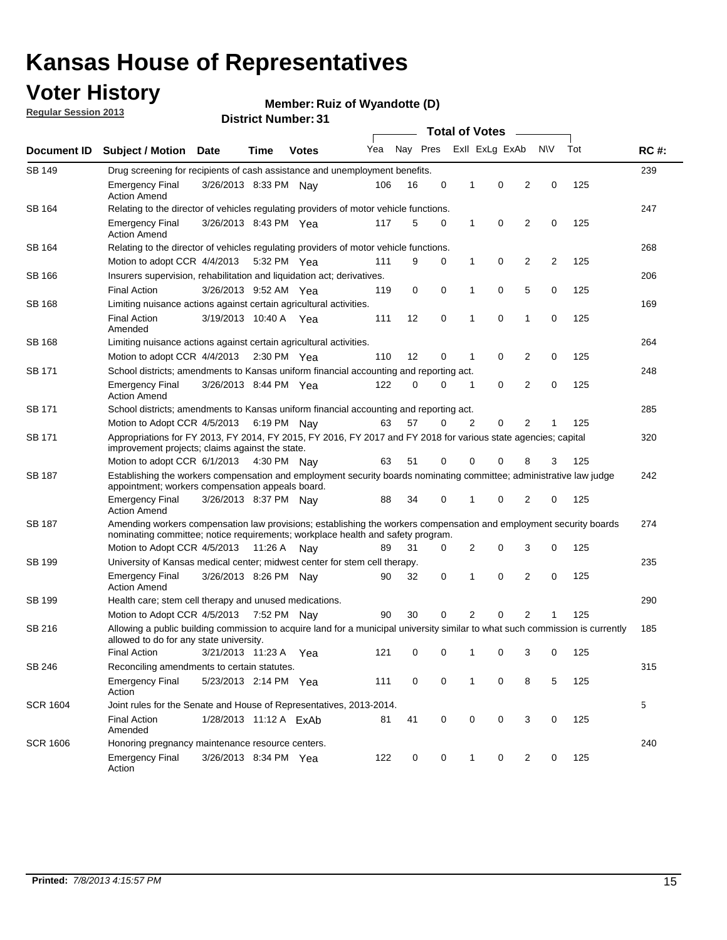### **Voter History**

**Member: Ruiz of Wyandotte (D)** 

**Regular Session 2013**

| Document ID     |                                                                                                                                                                                                       |                                                                                                                                                                         |                                                                                 |              |     |          |             | <b>Total of Votes</b> |                |                |           |     |             |  |
|-----------------|-------------------------------------------------------------------------------------------------------------------------------------------------------------------------------------------------------|-------------------------------------------------------------------------------------------------------------------------------------------------------------------------|---------------------------------------------------------------------------------|--------------|-----|----------|-------------|-----------------------|----------------|----------------|-----------|-----|-------------|--|
|                 | <b>Subject / Motion</b>                                                                                                                                                                               | <b>Date</b>                                                                                                                                                             | Time                                                                            | <b>Votes</b> | Yea | Nay Pres |             |                       | Exll ExLg ExAb |                | <b>NV</b> | Tot | <b>RC#:</b> |  |
| SB 149          |                                                                                                                                                                                                       | 239<br>Drug screening for recipients of cash assistance and unemployment benefits.                                                                                      |                                                                                 |              |     |          |             |                       |                |                |           |     |             |  |
|                 | <b>Emergency Final</b><br><b>Action Amend</b>                                                                                                                                                         | 3/26/2013 8:33 PM Nav                                                                                                                                                   |                                                                                 |              | 106 | 16       | 0           | 1                     | 0              | 2              | 0         | 125 |             |  |
| SB 164          | Relating to the director of vehicles regulating providers of motor vehicle functions.                                                                                                                 |                                                                                                                                                                         |                                                                                 |              |     |          |             |                       |                |                |           |     | 247         |  |
|                 | <b>Emergency Final</b><br><b>Action Amend</b>                                                                                                                                                         | 3/26/2013 8:43 PM Yea                                                                                                                                                   |                                                                                 |              | 117 | 5        | 0           | 1                     | 0              | 2              | 0         | 125 |             |  |
| SB 164          | Relating to the director of vehicles regulating providers of motor vehicle functions.                                                                                                                 |                                                                                                                                                                         |                                                                                 |              |     |          |             |                       |                |                |           |     | 268         |  |
|                 | Motion to adopt CCR 4/4/2013 5:32 PM Yea                                                                                                                                                              |                                                                                                                                                                         |                                                                                 |              | 111 | 9        | 0           | 1                     | 0              | 2              | 2         | 125 |             |  |
| SB 166          | Insurers supervision, rehabilitation and liquidation act; derivatives.                                                                                                                                |                                                                                                                                                                         |                                                                                 |              |     |          |             |                       |                |                |           |     | 206         |  |
|                 | <b>Final Action</b>                                                                                                                                                                                   | 3/26/2013 9:52 AM Yea                                                                                                                                                   |                                                                                 |              | 119 | 0        | $\mathbf 0$ | 1                     | 0              | 5              | 0         | 125 |             |  |
| SB 168          | Limiting nuisance actions against certain agricultural activities.                                                                                                                                    |                                                                                                                                                                         |                                                                                 |              |     |          |             |                       |                |                |           |     | 169         |  |
|                 | Final Action<br>Amended                                                                                                                                                                               | 3/19/2013 10:40 A Yea                                                                                                                                                   |                                                                                 |              | 111 | 12       | 0           | 1                     | 0              | 1              | 0         | 125 |             |  |
| SB 168          | Limiting nuisance actions against certain agricultural activities.                                                                                                                                    |                                                                                                                                                                         |                                                                                 |              |     |          |             |                       |                |                |           |     | 264         |  |
|                 | Motion to adopt CCR 4/4/2013                                                                                                                                                                          |                                                                                                                                                                         | $2:30 \text{ PM}$ Yea                                                           |              | 110 | 12       | 0           | 1                     | 0              | 2              | 0         | 125 |             |  |
| SB 171          | School districts; amendments to Kansas uniform financial accounting and reporting act.                                                                                                                |                                                                                                                                                                         |                                                                                 |              |     |          |             |                       |                |                |           |     | 248         |  |
|                 | <b>Emergency Final</b><br><b>Action Amend</b>                                                                                                                                                         | 3/26/2013 8:44 PM Yea                                                                                                                                                   |                                                                                 |              | 122 | 0        | 0           | 1                     | 0              | $\overline{2}$ | 0         | 125 |             |  |
| SB 171          | School districts; amendments to Kansas uniform financial accounting and reporting act.                                                                                                                |                                                                                                                                                                         |                                                                                 |              |     |          |             |                       |                |                |           |     | 285         |  |
|                 |                                                                                                                                                                                                       |                                                                                                                                                                         | 57<br>2<br>0<br>2<br>125<br>Motion to Adopt CCR 4/5/2013 6:19 PM Nay<br>63<br>0 |              |     |          |             |                       |                |                |           |     |             |  |
| SB 171          | Appropriations for FY 2013, FY 2014, FY 2015, FY 2016, FY 2017 and FY 2018 for various state agencies; capital<br>improvement projects; claims against the state.                                     |                                                                                                                                                                         |                                                                                 |              |     |          |             |                       |                |                |           |     | 320         |  |
|                 | Motion to adopt CCR 6/1/2013 4:30 PM Nay                                                                                                                                                              |                                                                                                                                                                         |                                                                                 |              | 63  | 51       | 0           | 0                     | 0              | 8              | 3         | 125 |             |  |
| SB 187          |                                                                                                                                                                                                       | Establishing the workers compensation and employment security boards nominating committee; administrative law judge<br>appointment; workers compensation appeals board. |                                                                                 |              |     |          |             |                       |                |                |           |     |             |  |
|                 | <b>Emergency Final</b><br><b>Action Amend</b>                                                                                                                                                         | 3/26/2013 8:37 PM Nav                                                                                                                                                   |                                                                                 |              | 88  | 34       | 0           | 1                     | 0              | 2              | 0         | 125 |             |  |
| SB 187          | Amending workers compensation law provisions; establishing the workers compensation and employment security boards<br>nominating committee; notice requirements; workplace health and safety program. |                                                                                                                                                                         |                                                                                 |              |     |          |             |                       |                |                |           |     | 274         |  |
|                 | Motion to Adopt CCR 4/5/2013 11:26 A Nay                                                                                                                                                              |                                                                                                                                                                         |                                                                                 |              | 89  | 31       | 0           | 2                     | 0              | 3              | 0         | 125 |             |  |
| SB 199          | University of Kansas medical center; midwest center for stem cell therapy.                                                                                                                            |                                                                                                                                                                         |                                                                                 |              |     |          |             |                       |                |                |           |     | 235         |  |
|                 | <b>Emergency Final</b><br><b>Action Amend</b>                                                                                                                                                         | 3/26/2013 8:26 PM Nay                                                                                                                                                   |                                                                                 |              | 90  | 32       | 0           | 1                     | 0              | 2              | 0         | 125 |             |  |
| SB 199          | Health care; stem cell therapy and unused medications.                                                                                                                                                |                                                                                                                                                                         |                                                                                 |              |     |          |             |                       |                |                |           |     | 290         |  |
|                 | Motion to Adopt CCR 4/5/2013                                                                                                                                                                          |                                                                                                                                                                         | 7:52 PM Nay                                                                     |              | 90  | 30       | 0           | 2                     | 0              | $\overline{2}$ |           | 125 |             |  |
| SB 216          | Allowing a public building commission to acquire land for a municipal university similar to what such commission is currently<br>allowed to do for any state university.                              |                                                                                                                                                                         |                                                                                 |              |     |          |             |                       |                |                |           |     | 185         |  |
|                 | <b>Final Action</b>                                                                                                                                                                                   | 3/21/2013 11:23 A                                                                                                                                                       |                                                                                 | - Yea        | 121 | 0        | 0           | 1                     | 0              | 3              | 0         | 125 |             |  |
| SB 246          | Reconciling amendments to certain statutes.                                                                                                                                                           |                                                                                                                                                                         |                                                                                 |              |     |          |             |                       |                |                |           |     | 315         |  |
|                 | <b>Emergency Final</b><br>Action                                                                                                                                                                      | 5/23/2013 2:14 PM Yea                                                                                                                                                   |                                                                                 |              | 111 | 0        | 0           | 1                     | 0              | 8              | 5         | 125 |             |  |
| <b>SCR 1604</b> | Joint rules for the Senate and House of Representatives, 2013-2014.                                                                                                                                   |                                                                                                                                                                         |                                                                                 |              |     |          |             |                       |                |                |           |     | 5           |  |
|                 | <b>Final Action</b><br>Amended                                                                                                                                                                        | 1/28/2013 11:12 A ExAb                                                                                                                                                  |                                                                                 |              | 81  | 41       | 0           | 0                     | 0              | 3              | 0         | 125 |             |  |
| <b>SCR 1606</b> | Honoring pregnancy maintenance resource centers.                                                                                                                                                      |                                                                                                                                                                         |                                                                                 |              |     |          |             |                       |                |                |           |     | 240         |  |
|                 | Emergency Final<br>Action                                                                                                                                                                             | 3/26/2013 8:34 PM Yea                                                                                                                                                   |                                                                                 |              | 122 | 0        | 0           | 1                     | 0              | 2              | 0         | 125 |             |  |